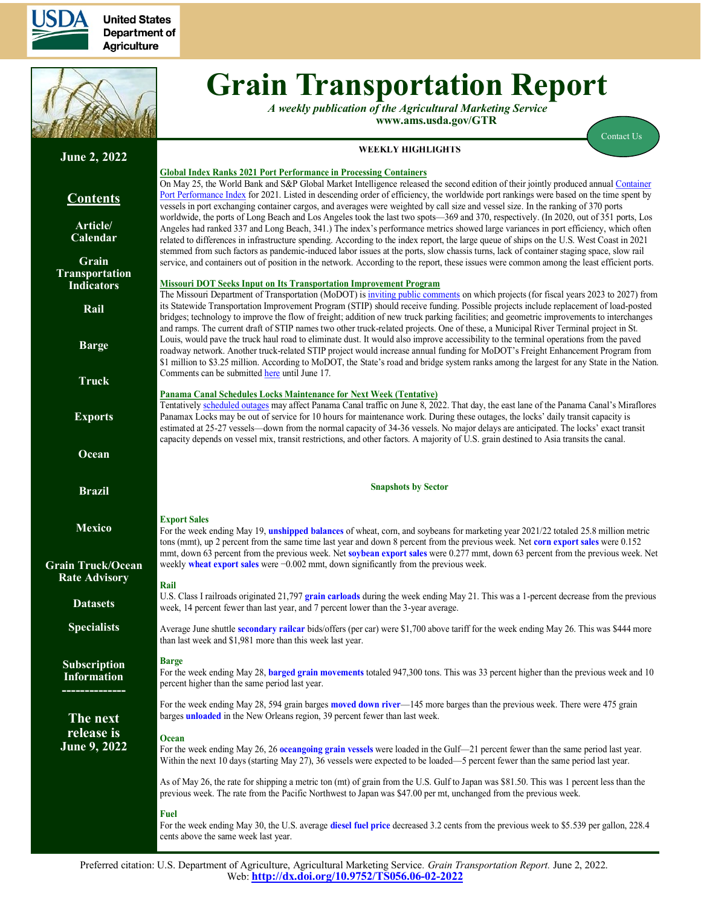

**United States Department of Agriculture** 



**June 2, 2022**

**Contents**

**[Article/](#page-1-0) [Calendar](#page-1-0)**

**[Grain](#page-3-0) [Transportation](#page-3-0) [Indicators](#page-3-0)**

**[Rail](#page-4-0)**

**[Barge](#page-10-0)**

**[Truck](#page-13-0)**

**[Exports](#page-14-0)**

**[Ocean](#page-18-0)**

**[Brazil](https://www.ams.usda.gov/services/transportation-analysis/brazil)**

**[Mexico](https://www.ams.usda.gov/services/transportation-analysis/mexico)**

**[Grain Truck/Ocean](https://www.ams.usda.gov/services/transportation-analysis/gtor) [Rate Advisory](https://www.ams.usda.gov/services/transportation-analysis/gtor)**

**[Dataset](https://www.ams.usda.gov/services/transportation-analysis/gtr-datasets)s**

**[Specialists](#page-21-0)**

**[Subscription](#page-21-0)  [Information](#page-21-0) --------------**

**The next**

# **Grain Transportation Report**

*A weekly publication of the Agricultural Marketing Service* **www.ams.usda.gov/GTR**

[Contact Us](mailto:Surajudeen.Olowolayemo@ams.usda.gov)

## **WEEKLY HIGHLIGHTS**

## **Global Index Ranks 2021 Port Performance in Processing Containers**

On May 25, the World Bank and S&P Global Market Intelligence released the second edition of their jointly produced annual Container [Port Performance Index](https://thedocs.worldbank.org/en/doc/66e3aa5c3be4647addd01845ce353992-0190062022/original/Container-Port-Performance-Index-2021.pdf) for 2021. Listed in descending order of efficiency, the worldwide port rankings were based on the time spent by vessels in port exchanging container cargos, and averages were weighted by call size and vessel size. In the ranking of 370 ports worldwide, the ports of Long Beach and Los Angeles took the last two spots—369 and 370, respectively. (In 2020, out of 351 ports, Los Angeles had ranked 337 and Long Beach, 341.) The index's performance metrics showed large variances in port efficiency, which often related to differences in infrastructure spending. According to the index report, the large queue of ships on the U.S. West Coast in 2021 stemmed from such factors as pandemic-induced labor issues at the ports, slow chassis turns, lack of container staging space, slow rail service, and containers out of position in the network. According to the report, these issues were common among the least efficient ports.

#### **Missouri DOT Seeks Input on Its Transportation Improvement Program**

The Missouri Department of Transportation (MoDOT) is [inviting public comments](https://www.modot.org/node/25899) on which projects (for fiscal years 2023 to 2027) from its Statewide Transportation Improvement Program (STIP) should receive funding. Possible projects include replacement of load-posted bridges; technology to improve the flow of freight; addition of new truck parking facilities; and geometric improvements to interchanges and ramps. The current draft of STIP names two other truck-related projects. One of these, <sup>a</sup> Municipal River Terminal project in St. Louis, would pave the truck haul road to eliminate dust. It would also improve accessibility to the terminal operations from the paved roadway network. Another truck-related STIP project would increase annual funding for MoDOT's Freight Enhancement Program from \$1 million to \$3.25 million. According to MoDOT, the State's road and bridge system rank<sup>s</sup> among the largest for any State in the Nation. Comments can be submitte[d here](https://www.modot.org/form/draft-2020-2024-statewide-transp) until June 17.

#### **Panama Canal Schedules Locks Maintenance for Next Week (Tentative)**

Tentatively [scheduled outages](https://pancanal.com/wp-content/uploads/2022/03/ADV17-2022-Monthly-Canal-Operations-Summary-APRIL-2022.pdf#page=2) may affect Panama Canal traffic on June 8, 2022. That day, the east lane of the Panama Canal's Miraflores Panamax Locks may be out of service for 10 hours for maintenance work. During these outages, the locks' daily transit capacity is estimated at 25-27 vessels—down from the normal capacity of 34-36 vessels. No major delays are anticipated. The locks' exact transit capacity depends on vessel mix, transit restrictions, and other factors. A majority of U.S. grain destined to Asia transits the canal.

#### **Snapshots by Sector**

#### **Export Sales**

For the week ending May 19, **[unshipped balances](#page-14-1)** of wheat, corn, and soybeans for marketing year 2021/22 totaled 25.8 million metric tons (mmt), up 2 percent from the same time last year and down 8 percent from the previous week. Net **[corn expor](#page-14-1)t sales** were 0.152 mmt, down 63 percent from the previous week. Net **[soybean export sales](#page-15-0)** were 0.277 mmt, down 63 percent from the previous week. Net weekly **[wheat export sales](#page-15-0)** were −0.002 mmt, down significantly from the previous week.

#### **Rail**

U.S. Class I railroads originated 21,797 **gra[in carloads](#page-5-0)** during the week ending May 21. This was a 1-percent decrease from the previous week, 14 percent fewer than last year, and 7 percent lower than the 3-year average.

Average June shuttle **[secondary railcar](#page-6-0)** bids/offers (per car) were \$1,700 above tariff for the week ending May 26. This was \$444 more than last week and \$1,981 more than this week last year.

#### **Barge**

For the week ending May 28, **[barged grain movements](#page-11-0)** totaled 947,300 tons. This was 33 percent higher than the previous week and 10 percent higher than the same period last year.

For the week ending May 28, 594 grain barges **[moved down river](#page-12-0)**—145 more barges than the previous week. There were 475 grain barges **[unloaded](#page-12-0)** in the New Orleans region, 39 percent fewer than last week.

#### **release is June 9, 2022 Ocean**

For the week ending May 26, 26 **oceango[ing grain vessels](#page-18-1)** were loaded in the Gulf—21 percent fewer than the same period last year. Within the next 10 days (starting May 27), 36 vessels were expected to be loaded—5 percent fewer than the same period last year.

As of May 26, the rate for shipping a metric ton (mt) of grain from the U.S. Gulf to Japan was \$81.50. This was 1 percent less than the previous week. The rate from the Pacific Northwest to Japan was \$47.00 per mt, unchanged from the previous week.

#### **Fuel**

For the week ending May 30, the U.S. average **[diesel fuel price](#page-13-1)** decreased 3.2 cents from the previous week to \$5.539 per gallon, 228.4 cents above the same week last year.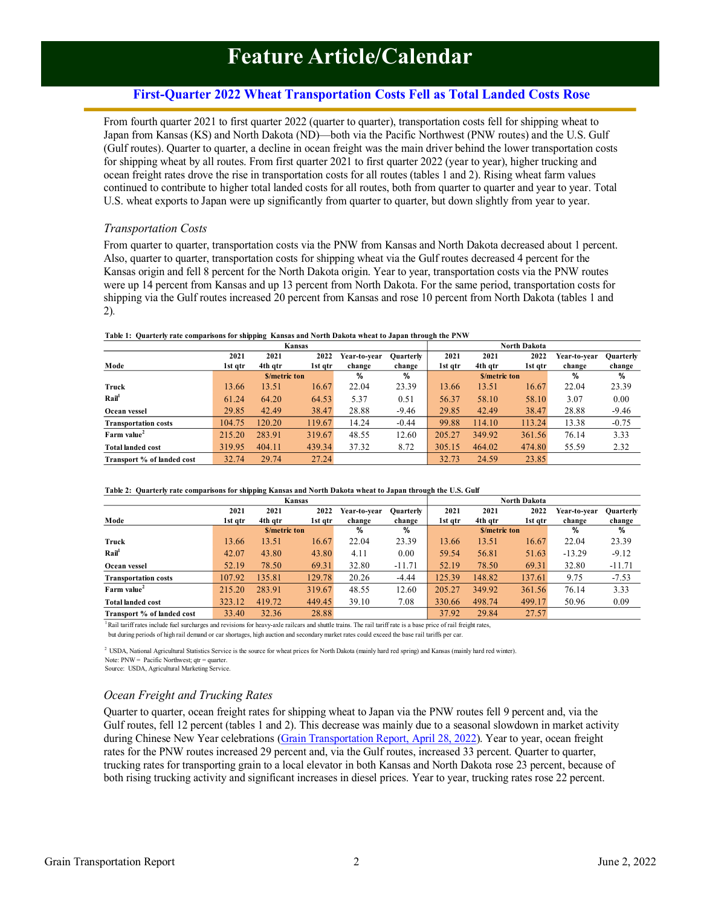## **First-Quarter 2022 Wheat Transportation Costs Fell as Total Landed Costs Rose**

<span id="page-1-0"></span>From fourth quarter 2021 to first quarter 2022 (quarter to quarter), transportation costs fell for shipping wheat to Japan from Kansas (KS) and North Dakota (ND)—both via the Pacific Northwest (PNW routes) and the U.S. Gulf (Gulf routes). Quarter to quarter, a decline in ocean freight was the main driver behind the lower transportation costs for shipping wheat by all routes. From first quarter 2021 to first quarter 2022 (year to year), higher trucking and ocean freight rates drove the rise in transportation costs for all routes (tables 1 and 2). Rising wheat farm values continued to contribute to higher total landed costs for all routes, both from quarter to quarter and year to year. Total U.S. wheat exports to Japan were up significantly from quarter to quarter, but down slightly from year to year.

### *Transportation Costs*

From quarter to quarter, transportation costs via the PNW from Kansas and North Dakota decreased about 1 percent. Also, quarter to quarter, transportation costs for shipping wheat via the Gulf routes decreased 4 percent for the Kansas origin and fell 8 percent for the North Dakota origin. Year to year, transportation costs via the PNW routes were up 14 percent from Kansas and up 13 percent from North Dakota. For the same period, transportation costs for shipping via the Gulf routes increased 20 percent from Kansas and rose 10 percent from North Dakota (tables 1 and 2)*.*

|                                                 |         |                     | Kansas  |              |                  |         |                     | <b>North Dakota</b> |              |                  |
|-------------------------------------------------|---------|---------------------|---------|--------------|------------------|---------|---------------------|---------------------|--------------|------------------|
|                                                 | 2021    | 2021                | 2022    | Year-to-vear | <b>Ouarterly</b> | 2021    | 2021                | 2022                | Year-to-year | <b>Quarterly</b> |
| Mode                                            | 1st qtr | 4th gtr             | 1st qtr | change       | change           | 1st qtr | 4th qtr             | 1st gtr             | change       | change           |
|                                                 |         | <b>S/metric ton</b> |         | %            | %                |         | <b>S/metric ton</b> |                     | %            | %                |
| Truck                                           | 13.66   | 13.51               | 16.67   | 22.04        | 23.39            | 13.66   | 13.51               | 16.67               | 22.04        | 23.39            |
| $\mathbf{R} \mathbf{a} \mathbf{i}$ <sup>1</sup> | 61.24   | 64.20               | 64.53   | 5.37         | 0.51             | 56.37   | 58.10               | 58.10               | 3.07         | 0.00             |
| Ocean vessel                                    | 29.85   | 42.49               | 38.47   | 28.88        | $-9.46$          | 29.85   | 42.49               | 38.47               | 28.88        | $-9.46$          |
| <b>Transportation costs</b>                     | 104.75  | 120.20              | 119.67  | 14.24        | $-0.44$          | 99.88   | 114.10              | 113.24              | 13.38        | $-0.75$          |
| Farm value                                      | 215.20  | 283.91              | 319.67  | 48.55        | 12.60            | 205.27  | 349.92              | 361.56              | 76.14        | 3.33             |
| <b>Total landed cost</b>                        | 319.95  | 404.11              | 439.34  | 37.32        | 8.72             | 305.15  | 464.02              | 474.80              | 55.59        | 2.32             |
| Transport % of landed cost                      | 32.74   | 29.74               | 27.24   |              |                  | 32.73   | 24.59               | 23.85               |              |                  |

#### **Table 1: Quarterly rate comparisons for shipping Kansas and North Dakota wheat to Japan through the PNW**

#### **Table 2: Quarterly rate comparisons for shipping Kansas and North Dakota wheat to Japan through the U.S. Gulf**

|                                    |         |                     | <b>Kansas</b> |              |                  |         |                     | <b>North Dakota</b> |              |                  |
|------------------------------------|---------|---------------------|---------------|--------------|------------------|---------|---------------------|---------------------|--------------|------------------|
|                                    | 2021    | 2021                | 2022          | Year-to-year | <b>Ouarterly</b> | 2021    | 2021                | 2022                | Year-to-year | <b>Quarterly</b> |
| Mode                               | 1st qtr | 4th qtr             | 1st gtr       | change       | change           | 1st atr | 4th qtr             | 1st gtr             | change       | change           |
|                                    |         | <b>S/metric ton</b> |               | %            | %                |         | <b>S/metric ton</b> |                     | %            | %                |
| Truck                              | 13.66   | 13.51               | 16.67         | 22.04        | 23.39            | 13.66   | 13.51               | 16.67               | 22.04        | 23.39            |
| $\mathbf{R}\mathbf{a}\mathbf{i}^1$ | 42.07   | 43.80               | 43.80         | 4.11         | 0.00             | 59.54   | 56.81               | 51.63               | $-13.29$     | $-9.12$          |
| Ocean vessel                       | 52.19   | 78.50               | 69.31         | 32.80        | $-11.71$         | 52.19   | 78.50               | 69.31               | 32.80        | $-11.71$         |
| <b>Transportation costs</b>        | 107.92  | 135.81              | 129.78        | 20.26        | $-4.44$          | 125.39  | 148.82              | 137.61              | 9.75         | $-7.53$          |
| Farm value <sup>2</sup>            | 215.20  | 283.91              | 319.67        | 48.55        | 12.60            | 205.27  | 349.92              | 361.56              | 76.14        | 3.33             |
| <b>Total landed cost</b>           | 323.12  | 419.72              | 449.45        | 39.10        | 7.08             | 330.66  | 498.74              | 499.17              | 50.96        | 0.09             |
| Transport % of landed cost         | 33.40   | 32.36               | 28.88         |              |                  | 37.92   | 29.84               | 27.57               |              |                  |

<sup>1</sup>Rail tariff rates include fuel surcharges and revisions for heavy-axle railcars and shuttle trains. The rail tariff rate is a base price of rail freight rates,

but during periods of high rail demand or car shortages, high auction and secondary market rates could exceed the base rail tariffs per car.

<sup>2</sup> USDA, National Agricultural Statistics Service is the source for wheat prices for North Dakota (mainly hard red spring) and Kansas (mainly hard red winter). Note:  $\angle PNW = \angle$  Pacific Northwest; qtr = quarter. Source: USDA, Agricultural Marketing Service.

## *Ocean Freight and Trucking Rates*

Quarter to quarter, ocean freight rates for shipping wheat to Japan via the PNW routes fell 9 percent and, via the Gulf routes, fell 12 percent (tables 1 and 2). This decrease was mainly due to a seasonal slowdown in market activity during Chinese New Year celebrations [\(Grain Transportation Report,](https://www.ams.usda.gov/sites/default/files/media/GTR04282022.pdf) April 28, 2022). Year to year, ocean freight rates for the PNW routes increased 29 percent and, via the Gulf routes, increased 33 percent. Quarter to quarter, trucking rates for transporting grain to a local elevator in both Kansas and North Dakota rose 23 percent, because of both rising trucking activity and significant increases in diesel prices. Year to year, trucking rates rose 22 percent.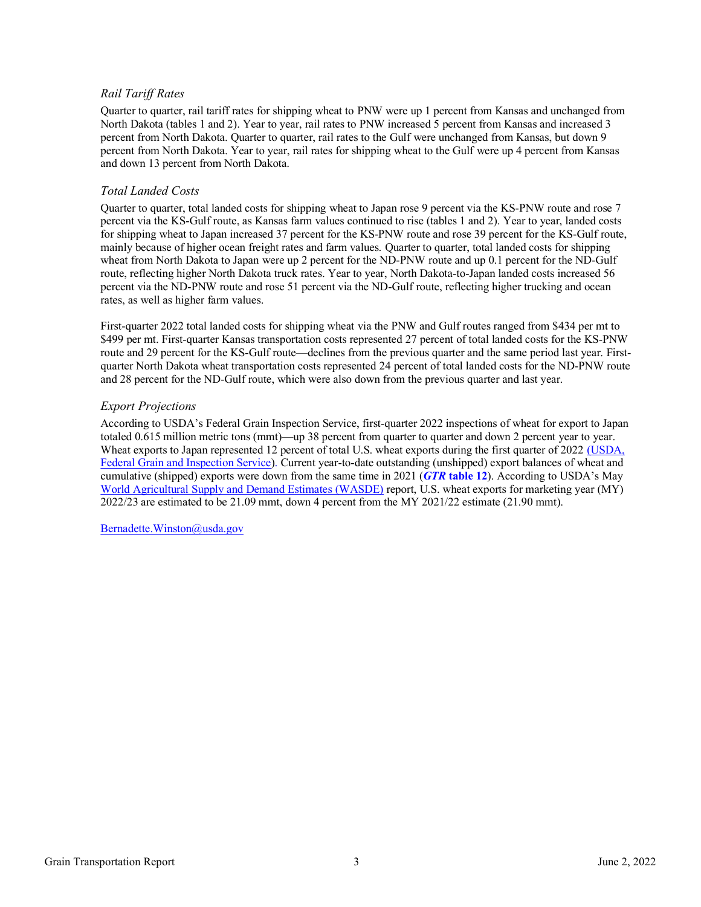## *Rail Tariff Rates*

Quarter to quarter, rail tariff rates for shipping wheat to PNW were up 1 percent from Kansas and unchanged from North Dakota (tables 1 and 2). Year to year, rail rates to PNW increased 5 percent from Kansas and increased 3 percent from North Dakota. Quarter to quarter, rail rates to the Gulf were unchanged from Kansas, but down 9 percent from North Dakota. Year to year, rail rates for shipping wheat to the Gulf were up 4 percent from Kansas and down 13 percent from North Dakota.

#### *Total Landed Costs*

Quarter to quarter, total landed costs for shipping wheat to Japan rose 9 percent via the KS-PNW route and rose 7 percent via the KS-Gulf route, as Kansas farm values continued to rise (tables 1 and 2). Year to year, landed costs for shipping wheat to Japan increased 37 percent for the KS-PNW route and rose 39 percent for the KS-Gulf route, mainly because of higher ocean freight rates and farm values. Quarter to quarter, total landed costs for shipping wheat from North Dakota to Japan were up 2 percent for the ND-PNW route and up 0.1 percent for the ND-Gulf route, reflecting higher North Dakota truck rates. Year to year, North Dakota-to-Japan landed costs increased 56 percent via the ND-PNW route and rose 51 percent via the ND-Gulf route, reflecting higher trucking and ocean rates, as well as higher farm values.

First-quarter 2022 total landed costs for shipping wheat via the PNW and Gulf routes ranged from \$434 per mt to \$499 per mt. First-quarter Kansas transportation costs represented 27 percent of total landed costs for the KS-PNW route and 29 percent for the KS-Gulf route—declines from the previous quarter and the same period last year. Firstquarter North Dakota wheat transportation costs represented 24 percent of total landed costs for the ND-PNW route and 28 percent for the ND-Gulf route, which were also down from the previous quarter and last year.

### *Export Projections*

According to USDA's Federal Grain Inspection Service, first-quarter 2022 inspections of wheat for export to Japan totaled 0.615 million metric tons (mmt)—up 38 percent from quarter to quarter and down 2 percent year to year. Wheat exports to Japan represented 12 percent of total U.S. wheat exports during the first quarter of 2022 [\(USDA](https://fgisonline.ams.usda.gov/ExportGrainReport/default.aspx), Federal Grain [and Inspection Service\)](https://fgisonline.ams.usda.gov/ExportGrainReport/default.aspx). Current year-to-date outstanding (unshipped) export balances of wheat and cumulative (shipped) exports were down from the same time in 2021 (*GTR* **[table 12](#page-14-1)**). According to USDA's May [World Agricultural Supply and Demand Estimates \(WASDE\)](https://www.usda.gov/oce/commodity/wasde/wasde0522.pdf) report, U.S. wheat exports for marketing year (MY) 2022/23 are estimated to be 21.09 mmt, down 4 percent from the MY 2021/22 estimate (21.90 mmt).

[Bernadette.Winston@usda.gov](mailto:Bernadette.Winston@usda.gov)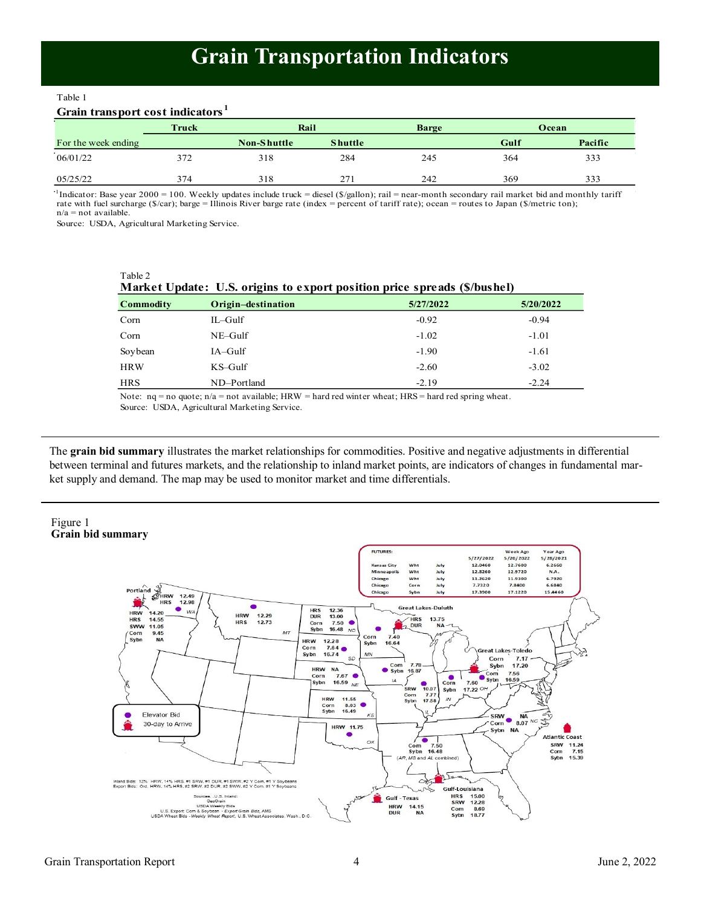## **Grain Transportation Indicators**

#### <span id="page-3-0"></span>Table 1 Table 1

## **Grain transport cost indicators <sup>1</sup> Grain transport cost indicators <sup>1</sup>**

|                     | Truck | Rail        |                | <b>Barge</b> |      | Ocean   |
|---------------------|-------|-------------|----------------|--------------|------|---------|
| For the week ending |       | Non-Shuttle | <b>Shuttle</b> |              | Gulf | Pacific |
| 06/01/22            | 372   | 318         | 284            | 245          | 364  | 333     |
| 05/25/22            | 374   | 318         | 271            | 242          | 369  | 333     |

05/25/22 374 318 271 242 369 333 1 Indicator: Base year 2000 = 100. Weekly updates include truck = diesel (\$/gallon); rail = near-month secondary rail market bid and monthly tariff In the secondary of  $\mathcal{L}_{\mathcal{S}}$  and  $\mathcal{L}_{\mathcal{S}}$  and  $\mathcal{L}_{\mathcal{S}}$  and  $\mathcal{L}_{\mathcal{S}}$  and  $\mathcal{L}_{\mathcal{S}}$  and  $\mathcal{L}_{\mathcal{S}}$  and  $\mathcal{L}_{\mathcal{S}}$  and  $\mathcal{L}_{\mathcal{S}}$  and  $\mathcal{L}_{\mathcal{S}}$  and  $\mathcal{L}_{\mathcal{S}}$  and  $\mathcal{L}_{\mathcal{$ rate with fuel surcharge (\$/car); barge = Illinois River barge rate (index = percent of tariff rate); ocean = routes to Japan (\$/metric ton);<br>n/a = not available. n/a = not available.

Source: USDA, Agricultural Marketing Service.

Table 2

|            |                    | Market Update: U.S. origins to export position price spreads (\$/bushel) |           |
|------------|--------------------|--------------------------------------------------------------------------|-----------|
| Commodity  | Origin-destination | 5/27/2022                                                                | 5/20/2022 |
| Corn       | $IL$ -Gulf         | $-0.92$                                                                  | $-0.94$   |
| Corn       | $NE-Gulf$          | $-1.02$                                                                  | $-1.01$   |
| Soybean    | $IA-Gulf$          | $-1.90$                                                                  | $-1.61$   |
| <b>HRW</b> | $KS$ -Gulf         | $-2.60$                                                                  | $-3.02$   |
| <b>HRS</b> | ND-Portland        | $-2.19$                                                                  | $-2.24$   |

Note:  $nq = no$  quote;  $n/a = not available$ ; HRW = hard red winter wheat; HRS = hard red spring wheat. Source: USDA, Agricultural Marketing Service.

The **grain bid summary** illustrates the market relationships for commodities. Positive and negative adjustments in differential between terminal and futures markets, and the relationship to inland market points, are indicators of changes in fundamental market supply and demand. The map may be used to monitor market and time differentials.

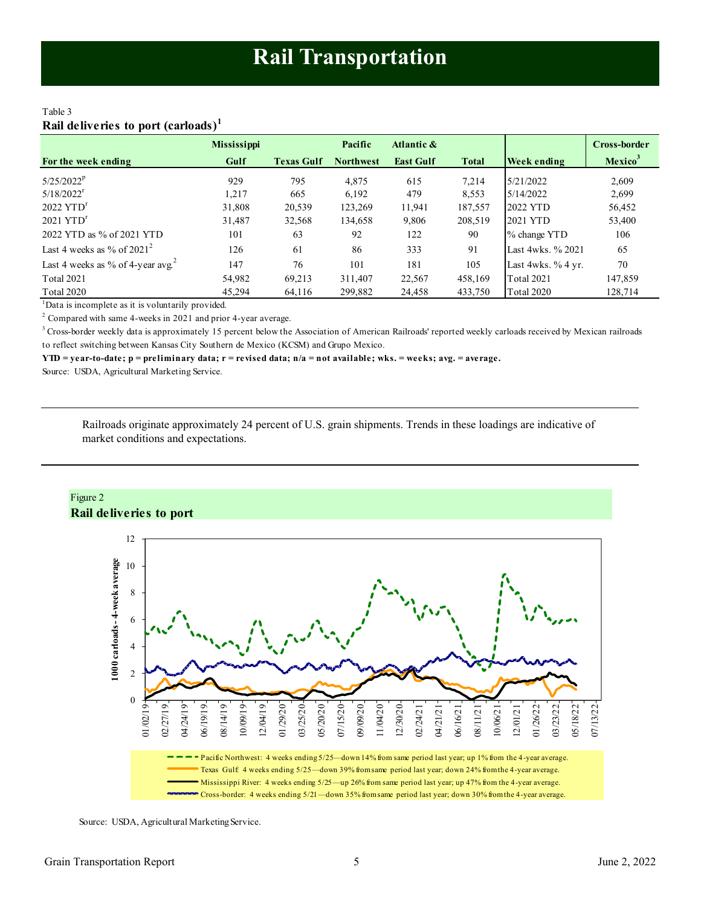#### <span id="page-4-0"></span>Table 3 **Rail deliveries to port (carloads)<sup>1</sup>**

|                                         | <b>Mississippi</b> |                   | Pacific          | Atlantic &       |              |                    | <b>Cross-border</b> |
|-----------------------------------------|--------------------|-------------------|------------------|------------------|--------------|--------------------|---------------------|
| For the week ending                     | Gulf               | <b>Texas Gulf</b> | <b>Northwest</b> | <b>East Gulf</b> | <b>Total</b> | Week ending        | Mexico <sup>3</sup> |
| $5/25/2022^p$                           | 929                | 795               | 4.875            | 615              | 7,214        | 5/21/2022          | 2,609               |
| $5/18/2022$ <sup>r</sup>                | 1.217              | 665               | 6,192            | 479              | 8,553        | 5/14/2022          | 2,699               |
| $2022$ $YTDr$                           | 31,808             | 20,539            | 123,269          | 11,941           | 187,557      | 2022 YTD           | 56,452              |
| $2021$ $YTDr$                           | 31,487             | 32,568            | 134,658          | 9,806            | 208,519      | 2021 YTD           | 53,400              |
| 2022 YTD as % of 2021 YTD               | 101                | 63                | 92               | 122              | 90           | % change YTD       | 106                 |
| Last 4 weeks as % of $2021^2$           | 126                | 61                | 86               | 333              | 91           | Last 4wks. % 2021  | 65                  |
| Last 4 weeks as % of 4-year avg. $^{2}$ | 147                | 76                | 101              | 181              | 105          | Last 4wks. % 4 yr. | 70                  |
| <b>Total 2021</b>                       | 54,982             | 69,213            | 311.407          | 22,567           | 458,169      | <b>Total 2021</b>  | 147,859             |
| <b>Total 2020</b>                       | 45.294             | 64,116            | 299,882          | 24,458           | 433,750      | <b>Total 2020</b>  | 128,714             |

<sup>1</sup>Data is incomplete as it is voluntarily provided.

 $2^2$  Compared with same 4-weeks in 2021 and prior 4-year average.

<sup>3</sup> Cross-border weekly data is approximately 15 percent below the Association of American Railroads' reported weekly carloads received by Mexican railroads to reflect switching between Kansas City Southern de Mexico (KCSM) and Grupo Mexico.

**YTD = year-to-date; p = preliminary data; r = revised data; n/a = not available; wks. = weeks; avg. = average.**

Source: USDA, Agricultural Marketing Service.

Railroads originate approximately 24 percent of U.S. grain shipments. Trends in these loadings are indicative of market conditions and expectations.



Source: USDA, Agricultural Marketing Service.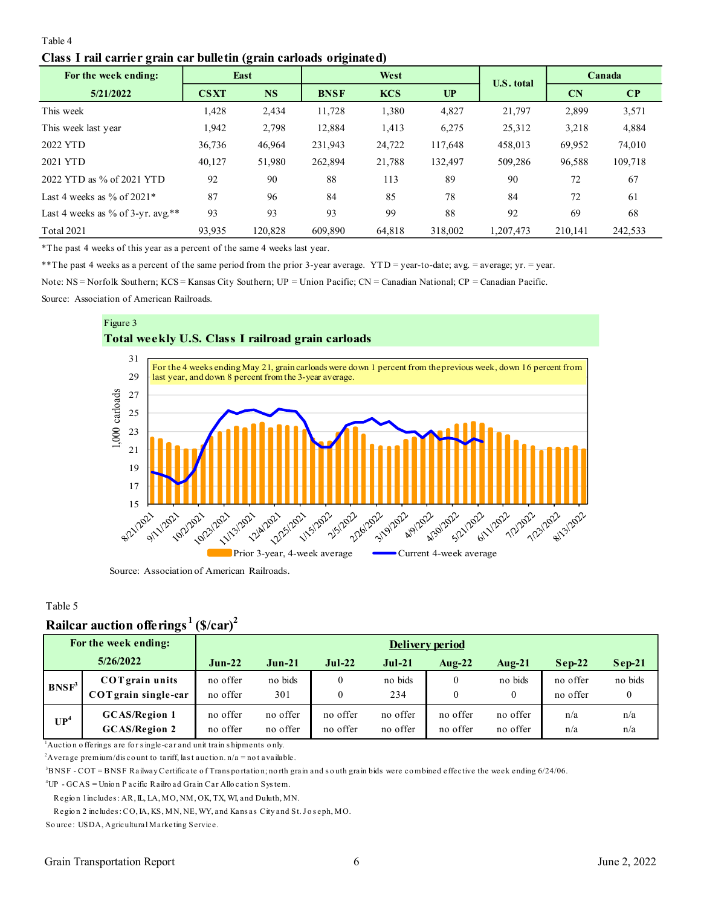## <span id="page-5-0"></span>Table 4 **Class I rail carrier grain car bulletin (grain carloads originated)**

| $\overline{\phantom{a}}$<br>For the week ending: |             | 15<br>East | $\bullet$   | West       |         | <b>U.S. total</b> |           | Canada       |
|--------------------------------------------------|-------------|------------|-------------|------------|---------|-------------------|-----------|--------------|
| 5/21/2022                                        | <b>CSXT</b> | <b>NS</b>  | <b>BNSF</b> | <b>KCS</b> | UP      |                   | <b>CN</b> | $\mathbf{C}$ |
| This week                                        | 1,428       | 2,434      | 11,728      | 1,380      | 4,827   | 21,797            | 2,899     | 3,571        |
| This week last year                              | 1,942       | 2,798      | 12,884      | 1,413      | 6,275   | 25,312            | 3,218     | 4,884        |
| 2022 YTD                                         | 36,736      | 46,964     | 231,943     | 24,722     | 117,648 | 458,013           | 69,952    | 74,010       |
| 2021 YTD                                         | 40,127      | 51,980     | 262,894     | 21,788     | 132,497 | 509,286           | 96,588    | 109,718      |
| 2022 YTD as % of 2021 YTD                        | 92          | 90         | 88          | 113        | 89      | 90                | 72        | 67           |
| Last 4 weeks as $\%$ of 2021*                    | 87          | 96         | 84          | 85         | 78      | 84                | 72        | 61           |
| Last 4 weeks as % of 3-yr. avg.**                | 93          | 93         | 93          | 99         | 88      | 92                | 69        | 68           |
| <b>Total 2021</b>                                | 93,935      | 120,828    | 609,890     | 64,818     | 318,002 | 1,207,473         | 210,141   | 242,533      |

\*The past 4 weeks of this year as a percent of the same 4 weeks last year.

\*\*The past 4 weeks as a percent of the same period from the prior 3-year average. YTD = year-to-date; avg. = average; yr. = year.

Note: NS = Norfolk Southern; KCS = Kansas City Southern; UP = Union Pacific; CN = Canadian National; CP = Canadian Pacific.

Source: Association of American Railroads.



## Table 5

## **Railcar auction offerings <sup>1</sup>(\$/car)<sup>2</sup>**

|                                                                                                                                                                                                                                                                                                                                 | Rançai aucuon oncluigs                        | $\cup$ u $\alpha$ i  |                      |                                  |                      |                              |                      |                      |            |  |  |  |
|---------------------------------------------------------------------------------------------------------------------------------------------------------------------------------------------------------------------------------------------------------------------------------------------------------------------------------|-----------------------------------------------|----------------------|----------------------|----------------------------------|----------------------|------------------------------|----------------------|----------------------|------------|--|--|--|
|                                                                                                                                                                                                                                                                                                                                 | For the week ending:                          |                      | Delivery period      |                                  |                      |                              |                      |                      |            |  |  |  |
|                                                                                                                                                                                                                                                                                                                                 | 5/26/2022                                     | $Jun-22$             | $Jun-21$             | $Jul-22$                         | $Jul-21$             | Aug- $22$                    | $Auq-21$             | $Sep-22$             | $Sep-21$   |  |  |  |
| BNSF <sup>3</sup>                                                                                                                                                                                                                                                                                                               | <b>COT</b> grain units<br>COTgrain single-car | no offer<br>no offer | no bids<br>301       | $\mathbf{0}$<br>$\boldsymbol{0}$ | no bids<br>234       | $\mathbf{0}$<br>$\mathbf{0}$ | no bids<br>$\theta$  | no offer<br>no offer | no bids    |  |  |  |
| UP <sup>4</sup>                                                                                                                                                                                                                                                                                                                 | <b>GCAS/Region 1</b><br><b>GCAS/Region 2</b>  | no offer<br>no offer | no offer<br>no offer | no offer<br>no offer             | no offer<br>no offer | no offer<br>no offer         | no offer<br>no offer | n/a<br>n/a           | n/a<br>n/a |  |  |  |
| $\alpha$ Auction offerings are for single-car and unit train shipments only.<br><sup>2</sup> Average premium/discount to tariff, last auction. $n/a = not a value$ .<br><sup>3</sup> DNSE COT-DNSE $P_0$ it was Continuate of Transportations north group and south group hide wave combined offective the week and ine 6/24/06 |                                               |                      |                      |                                  |                      |                              |                      |                      |            |  |  |  |

 $^2$ Average premium/discount to tariff, last auction. n/a = not available.<br> $^3$ BNSF - COT = BNSF Railway Certificate of Trans portation; north grain and south grain bids were combined effective the week ending 6/24/06.

<sup>4</sup>UP - GCAS = Unio n P acific Railro ad Grain Car Allo catio n Sys tem.

Regio n 1 includes : AR, IL, LA, MO, NM, OK, TX, WI, and Duluth, MN.

NSF - COT = BNSF Railway Certificate of Transportation; north grain and south <sub>{</sub><br>P - GCAS = Union P acific Railroad Grain Car Allocation System.<br>Region 1 includes : AR, IL, LA, MO, NM, OK, TX, WI, and Duluth, MN.<br>Region 2 <sup>4</sup>UP - GCAS = Union Pacific Railroad Grain Car<br>Region 1 includes: AR, IL, LA, MO, NM, OK, T.<br>Region 2 includes: CO, IA, KS, MN, NE, WY, ar<br>Source: USDA, Agricultural Marketing Service.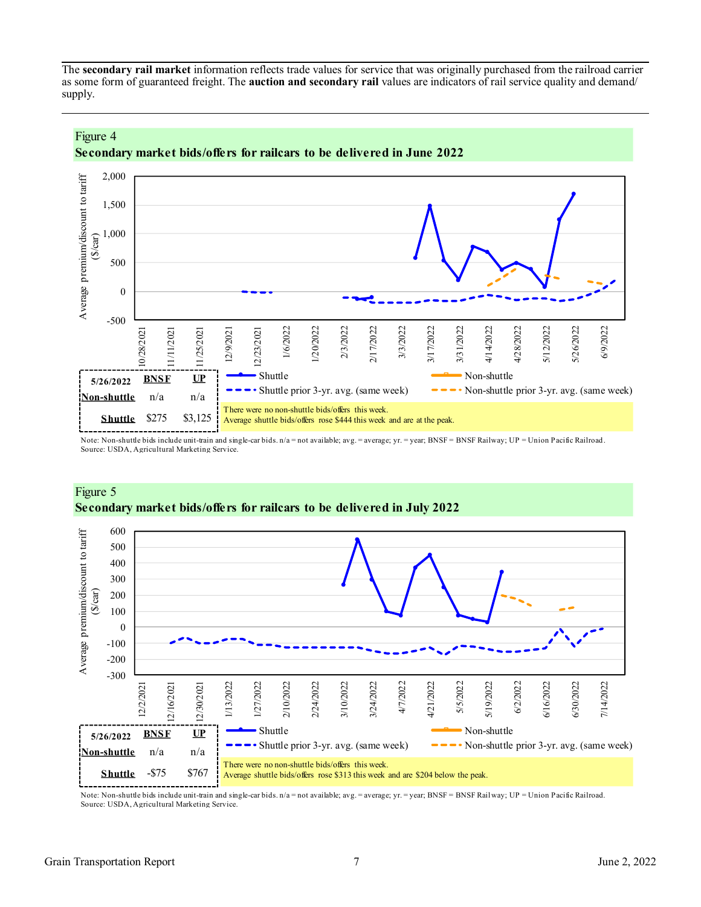<span id="page-6-0"></span>The **secondary rail market** information reflects trade values for service that was originally purchased from the railroad carrier as some form of guaranteed freight. The **auction and secondary rail** values are indicators of rail service quality and demand/ supply.



**Secondary market bids/offers for railcars to be delivered in June 2022**

Note: Non-shuttle bids include unit-train and single-car bids. n/a = not available; avg. = average; yr. = year; BNSF = BNSF Railway; UP = Union Pacific Railroad. Source: USDA, Agricultural Marketing Service.



## Figure 5 **Secondary market bids/offers for railcars to be delivered in July 2022**

Note: Non-shuttle bids include unit-train and single-car bids. n/a = not available; avg. = average; yr. = year; BNSF = BNSF Railway; UP = Union Pacific Railroad. Source: USDA, Agricultural Marketing Service.

Figure 4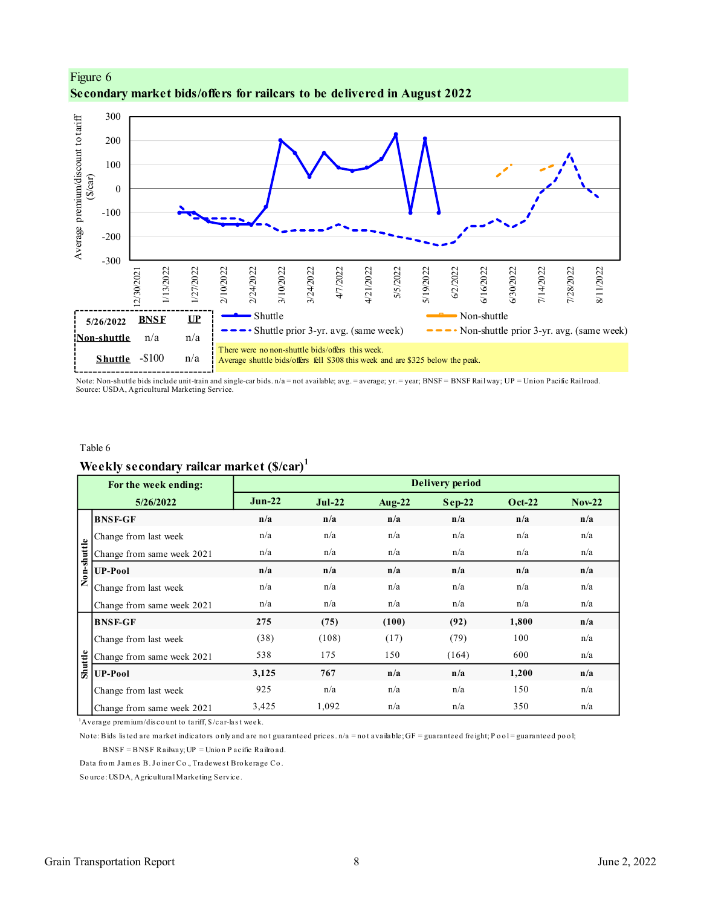



Note: Non-shuttle bids include unit-train and single-car bids. n/a = not available; avg. = average; yr. = year; BNSF = BNSF Railway; UP = Union Pacific Railroad. Source: USDA, Agricultural Marketing Service.

#### Table 6

## **Weekly secondary railcar market (\$/car)<sup>1</sup>**

|             | For the week ending:                                                                                                                                |          |          |           | <b>Delivery period</b> |        |          |
|-------------|-----------------------------------------------------------------------------------------------------------------------------------------------------|----------|----------|-----------|------------------------|--------|----------|
|             | 5/26/2022                                                                                                                                           | $Jun-22$ | $Jul-22$ | Aug- $22$ | $Sep-22$               | Oct-22 | $Nov-22$ |
|             | <b>BNSF-GF</b>                                                                                                                                      | n/a      | n/a      | n/a       | n/a                    | n/a    | n/a      |
|             | Change from last week                                                                                                                               | n/a      | n/a      | n/a       | n/a                    | n/a    | n/a      |
| Non-shuttle | Change from same week 2021                                                                                                                          | n/a      | n/a      | n/a       | n/a                    | n/a    | n/a      |
|             | <b>UP-Pool</b>                                                                                                                                      | n/a      | n/a      | n/a       | n/a                    | n/a    | n/a      |
|             | Change from last week                                                                                                                               | n/a      | n/a      | n/a       | n/a                    | n/a    | n/a      |
|             | Change from same week 2021                                                                                                                          | n/a      | n/a      | n/a       | n/a                    | n/a    | n/a      |
|             | <b>BNSF-GF</b>                                                                                                                                      | 275      | (75)     | (100)     | (92)                   | 1,800  | n/a      |
|             | Change from last week                                                                                                                               | (38)     | (108)    | (17)      | (79)                   | 100    | n/a      |
|             | Change from same week 2021                                                                                                                          | 538      | 175      | 150       | (164)                  | 600    | n/a      |
| Shuttle     | <b>UP-Pool</b>                                                                                                                                      | 3,125    | 767      | n/a       | n/a                    | 1,200  | n/a      |
|             | Change from last week                                                                                                                               | 925      | n/a      | n/a       | n/a                    | 150    | n/a      |
|             | Change from same week 2021                                                                                                                          | 3,425    | 1,092    | n/a       | n/a                    | 350    | n/a      |
|             | $\Delta$ Average premium/discount to tariff, $\frac{1}{2}$ /car-last week.                                                                          |          |          |           |                        |        |          |
|             | Note: Bids listed are market indicators only and are not guaranteed prices. $n/a =$ not available; GF = guaranteed freight; Pool = guaranteed pool; |          |          |           |                        |        |          |
|             | $BNSF = BNSF$ Railway; $UP =$ Unio n P acific Railro ad.                                                                                            |          |          |           |                        |        |          |
|             | Data from James B. Joiner Co., Tradewest Brokerage Co.                                                                                              |          |          |           |                        |        |          |
|             | Source: USDA, Agricultural Marketing Service.                                                                                                       |          |          |           |                        |        |          |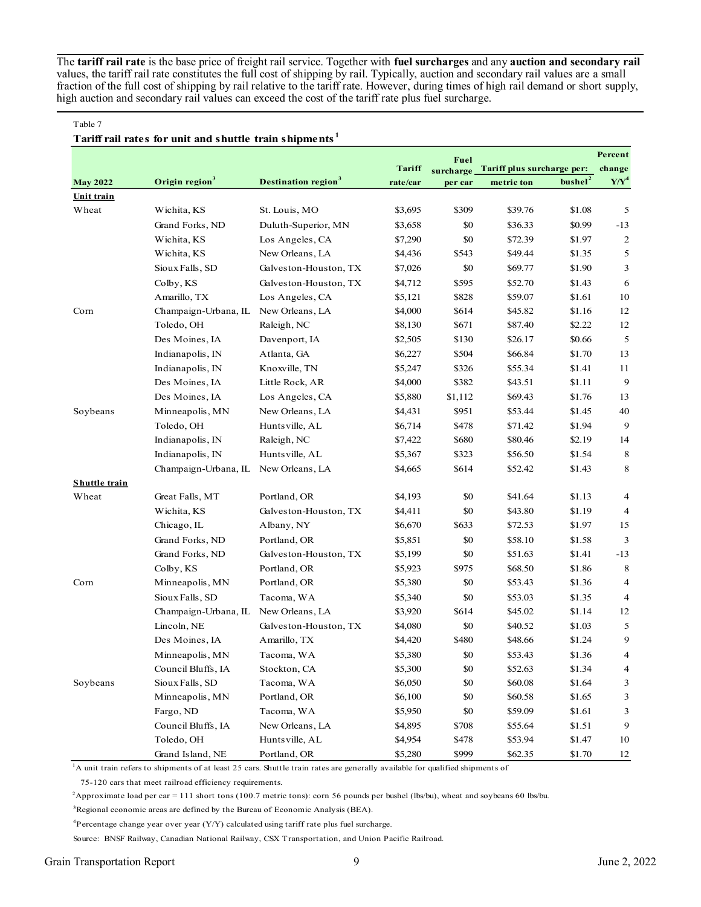The **tariff rail rate** is the base price of freight rail service. Together with **fuel surcharges** and any **auction and secondary rail** values, the tariff rail rate constitutes the full cost of shipping by rail. Typically, auction and secondary rail values are a small fraction of the full cost of shipping by rail relative to the tariff rate. However, during times of high rail demand or short supply, high auction and secondary rail values can exceed the cost of the tariff rate plus fuel surcharge.

#### Table 7

#### **Tariff rail rates for unit and shuttle train shipments <sup>1</sup>**

|                      |                            |                                 |               | Fuel      |                            |                     | Percent                  |
|----------------------|----------------------------|---------------------------------|---------------|-----------|----------------------------|---------------------|--------------------------|
|                      |                            |                                 | <b>Tariff</b> | surcharge | Tariff plus surcharge per: |                     | change                   |
| <b>May 2022</b>      | Origin region <sup>3</sup> | Destination region <sup>3</sup> | rate/car      | per car   | metric ton                 | bushel <sup>2</sup> | $Y/Y^4$                  |
| Unit train           |                            |                                 |               |           |                            |                     |                          |
| Wheat                | Wichita, KS                | St. Louis, MO                   | \$3,695       | \$309     | \$39.76                    | \$1.08              | 5                        |
|                      | Grand Forks, ND            | Duluth-Superior, MN             | \$3,658       | \$0       | \$36.33                    | \$0.99              | $-13$                    |
|                      | Wichita, KS                | Los Angeles, CA                 | \$7,290       | \$0       | \$72.39                    | \$1.97              | $\overline{c}$           |
|                      | Wichita, KS                | New Orleans, LA                 | \$4,436       | \$543     | \$49.44                    | \$1.35              | 5                        |
|                      | Sioux Falls, SD            | Galveston-Houston, TX           | \$7,026       | \$0       | \$69.77                    | \$1.90              | 3                        |
|                      | Colby, KS                  | Galveston-Houston, TX           | \$4,712       | \$595     | \$52.70                    | \$1.43              | 6                        |
|                      | Amarillo, TX               | Los Angeles, CA                 | \$5,121       | \$828     | \$59.07                    | \$1.61              | 10                       |
| Corn                 | Champaign-Urbana, IL       | New Orleans, LA                 | \$4,000       | \$614     | \$45.82                    | \$1.16              | 12                       |
|                      | Toledo, OH                 | Raleigh, NC                     | \$8,130       | \$671     | \$87.40                    | \$2.22              | 12                       |
|                      | Des Moines, IA             | Davenport, IA                   | \$2,505       | \$130     | \$26.17                    | \$0.66              | 5                        |
|                      | Indianapolis, IN           | Atlanta, GA                     | \$6,227       | \$504     | \$66.84                    | \$1.70              | 13                       |
|                      | Indianapolis, IN           | Knoxville, TN                   | \$5,247       | \$326     | \$55.34                    | \$1.41              | 11                       |
|                      | Des Moines, IA             | Little Rock, AR                 | \$4,000       | \$382     | \$43.51                    | \$1.11              | 9                        |
|                      | Des Moines, IA             | Los Angeles, CA                 | \$5,880       | \$1,112   | \$69.43                    | \$1.76              | 13                       |
| Soybeans             | Minneapolis, MN            | New Orleans, LA                 | \$4,431       | \$951     | \$53.44                    | \$1.45              | 40                       |
|                      | Toledo, OH                 | Hunts ville, AL                 | \$6,714       | \$478     | \$71.42                    | \$1.94              | 9                        |
|                      | Indianapolis, IN           | Raleigh, NC                     | \$7,422       | \$680     | \$80.46                    | \$2.19              | 14                       |
|                      | Indianapolis, IN           | Hunts ville, AL                 | \$5,367       | \$323     | \$56.50                    | \$1.54              | 8                        |
|                      | Champaign-Urbana, IL       | New Orleans, LA                 | \$4,665       | \$614     | \$52.42                    | \$1.43              | 8                        |
| <b>Shuttle train</b> |                            |                                 |               |           |                            |                     |                          |
| Wheat                | Great Falls, MT            | Portland, OR                    | \$4,193       | \$0       | \$41.64                    | \$1.13              | 4                        |
|                      | Wichita, KS                | Galveston-Houston, TX           | \$4,411       | \$0       | \$43.80                    | \$1.19              | 4                        |
|                      | Chicago, IL                | Albany, NY                      | \$6,670       | \$633     | \$72.53                    | \$1.97              | 15                       |
|                      | Grand Forks, ND            | Portland, OR                    | \$5,851       | \$0       | \$58.10                    | \$1.58              | 3                        |
|                      | Grand Forks, ND            | Galveston-Houston, TX           | \$5,199       | \$0       | \$51.63                    | \$1.41              | $-13$                    |
|                      | Colby, KS                  | Portland, OR                    | \$5,923       | \$975     | \$68.50                    | \$1.86              | 8                        |
| Corn                 | Minneapolis, MN            | Portland, OR                    | \$5,380       | \$0       | \$53.43                    | \$1.36              | 4                        |
|                      | Sioux Falls, SD            | Tacoma, WA                      | \$5,340       | \$0       | \$53.03                    | \$1.35              | $\overline{4}$           |
|                      | Champaign-Urbana, IL       | New Orleans, LA                 | \$3,920       | \$614     | \$45.02                    | \$1.14              | 12                       |
|                      | Lincoln, NE                | Galveston-Houston, TX           | \$4,080       | \$0       | \$40.52                    | \$1.03              | 5                        |
|                      | Des Moines, IA             | Amarillo, TX                    | \$4,420       | \$480     | \$48.66                    | \$1.24              | 9                        |
|                      | Minneapolis, MN            | Tacoma, WA                      | \$5,380       | \$0       | \$53.43                    | \$1.36              | $\overline{\mathcal{A}}$ |
|                      | Council Bluffs, IA         | Stockton, CA                    | \$5,300       | \$0       | \$52.63                    | \$1.34              | 4                        |
| Soybeans             | Sioux Falls, SD            | Tacoma, WA                      | \$6,050       | \$0       | \$60.08                    | \$1.64              | 3                        |
|                      | Minneapolis, MN            | Portland, OR                    | \$6,100       | \$0       | \$60.58                    | \$1.65              | 3                        |
|                      | Fargo, ND                  | Tacoma, WA                      | \$5,950       | \$0       | \$59.09                    | \$1.61              | 3                        |
|                      | Council Bluffs, IA         | New Orleans, LA                 | \$4,895       | \$708     | \$55.64                    | \$1.51              | 9                        |
|                      | Toledo, OH                 | Hunts ville, AL                 | \$4,954       | \$478     | \$53.94                    | $\$1.47$            | 10                       |
|                      | Grand Island, NE           | Portland, OR                    | \$5,280       | \$999     | \$62.35                    | \$1.70              | 12                       |

<sup>1</sup>A unit train refers to shipments of at least 25 cars. Shuttle train rates are generally available for qualified shipments of

75-120 cars that meet railroad efficiency requirements.

<sup>2</sup>Approximate load per car = 111 short tons (100.7 metric tons): corn 56 pounds per bushel (lbs/bu), wheat and soybeans 60 lbs/bu.

<sup>3</sup>Regional economic areas are defined by the Bureau of Economic Analysis (BEA).

 ${}^{4}$ Percentage change year over year (Y/Y) calculated using tariff rate plus fuel surcharge.

Source: BNSF Railway, Canadian National Railway, CSX Transportation, and Union Pacific Railroad.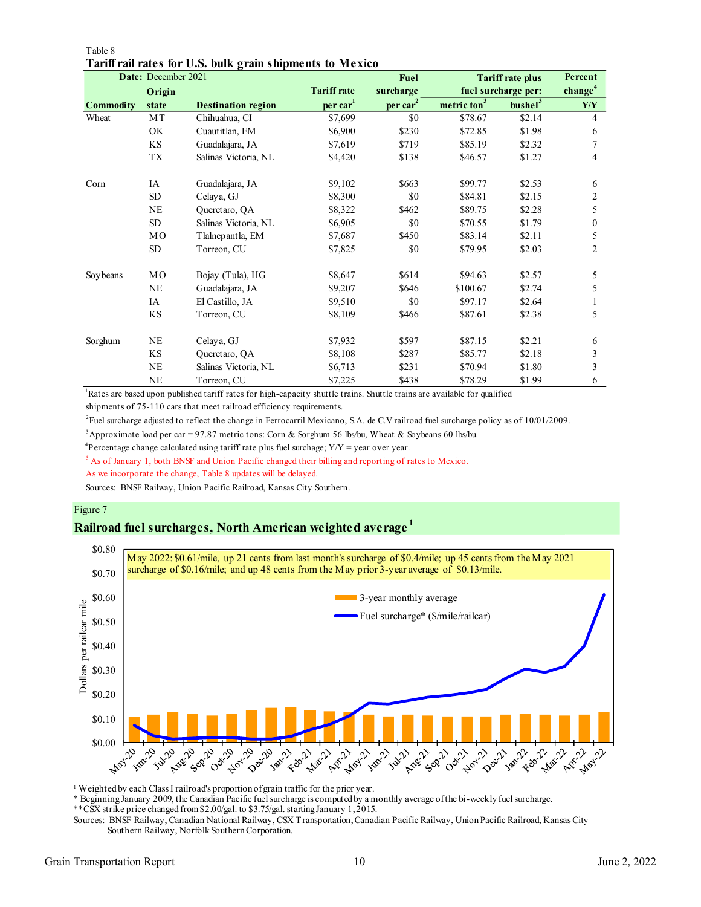|                  | Date: December 2021 |                           |                      | <b>Fuel</b>    |                         | <b>Tariff rate plus</b> | Percent             |
|------------------|---------------------|---------------------------|----------------------|----------------|-------------------------|-------------------------|---------------------|
|                  | Origin              |                           | <b>Tariff rate</b>   | surcharge      |                         | fuel surcharge per:     | change <sup>4</sup> |
| <b>Commodity</b> | state               | <b>Destination region</b> | per car <sup>1</sup> | $per \, car^2$ | metric ton <sup>3</sup> | bushel <sup>3</sup>     | Y/Y                 |
| Wheat            | MT                  | Chihuahua, CI             | \$7,699              | \$0            | \$78.67                 | \$2.14                  | 4                   |
|                  | OK                  | Cuautitlan, EM            | \$6,900              | \$230          | \$72.85                 | \$1.98                  | 6                   |
|                  | <b>KS</b>           | Guadalajara, JA           | \$7,619              | \$719          | \$85.19                 | \$2.32                  | 7                   |
|                  | TX                  | Salinas Victoria, NL      | \$4,420              | \$138          | \$46.57                 | \$1.27                  | 4                   |
| Corn             | IA                  | Guadalajara, JA           | \$9,102              | \$663          | \$99.77                 | \$2.53                  | 6                   |
|                  | SD                  | Celaya, GJ                | \$8,300              | \$0            | \$84.81                 | \$2.15                  | 2                   |
|                  | <b>NE</b>           | Queretaro, QA             | \$8,322              | \$462          | \$89.75                 | \$2.28                  | 5                   |
|                  | SD                  | Salinas Victoria, NL      | \$6,905              | \$0            | \$70.55                 | \$1.79                  | $\theta$            |
|                  | MO                  | Tlalnep antla, EM         | \$7,687              | \$450          | \$83.14                 | \$2.11                  | 5                   |
|                  | SD                  | Torreon, CU               | \$7,825              | \$0            | \$79.95                 | \$2.03                  | 2                   |
| Soybeans         | MO                  | Bojay (Tula), HG          | \$8,647              | \$614          | \$94.63                 | \$2.57                  | 5                   |
|                  | <b>NE</b>           | Guadalajara, JA           | \$9,207              | \$646          | \$100.67                | \$2.74                  | 5                   |
|                  | IA                  | El Castillo, JA           | \$9,510              | \$0            | \$97.17                 | \$2.64                  |                     |
|                  | <b>KS</b>           | Torreon, CU               | \$8,109              | \$466          | \$87.61                 | \$2.38                  | 5                   |
| Sorghum          | <b>NE</b>           | Celaya, GJ                | \$7,932              | \$597          | \$87.15                 | \$2.21                  | 6                   |
|                  | KS                  | Queretaro, QA             | \$8,108              | \$287          | \$85.77                 | \$2.18                  | 3                   |
|                  | NE                  | Salinas Victoria, NL      | \$6,713              | \$231          | \$70.94                 | \$1.80                  | 3                   |
|                  | <b>NE</b>           | Torreon, CU               | \$7,225              | \$438          | \$78.29                 | \$1.99                  | 6                   |

#### Table 8 **Tariff rail rates for U.S. bulk grain shipments to Mexico**

<sup>1</sup>Rates are based upon published tariff rates for high-capacity shuttle trains. Shuttle trains are available for qualified

shipments of 75-110 cars that meet railroad efficiency requirements.

2 Fuel surcharge adjusted to reflect the change in Ferrocarril Mexicano, S.A. de C.V railroad fuel surcharge policy as of 10/01/2009.

<sup>3</sup>Approximate load per car = 97.87 metric tons: Corn & Sorghum 56 lbs/bu, Wheat & Soybeans 60 lbs/bu.

<sup>4</sup>Percentage change calculated using tariff rate plus fuel surchage;  $Y/Y = year$  over year.

<sup>5</sup> As of January 1, both BNSF and Union Pacific changed their billing and reporting of rates to Mexico.

As we incorporate the change, Table 8 updates will be delayed.

Sources: BNSF Railway, Union Pacific Railroad, Kansas City Southern.

#### Figure 7

#### **Railroad fuel surcharges, North American weighted average <sup>1</sup>**



<sup>1</sup> Weighted by each Class I railroad's proportion of grain traffic for the prior year.

\* Beginning January 2009, the Canadian Pacific fuel surcharge is computed by a monthly average of the bi-weekly fuel surcharge.

\*\*CSX strike price changed from \$2.00/gal. to \$3.75/gal. starting January 1, 2015.

Sources: BNSF Railway, Canadian National Railway, CSX Transportation, Canadian Pacific Railway, Union Pacific Railroad, Kansas City Southern Railway, Norfolk Southern Corporation.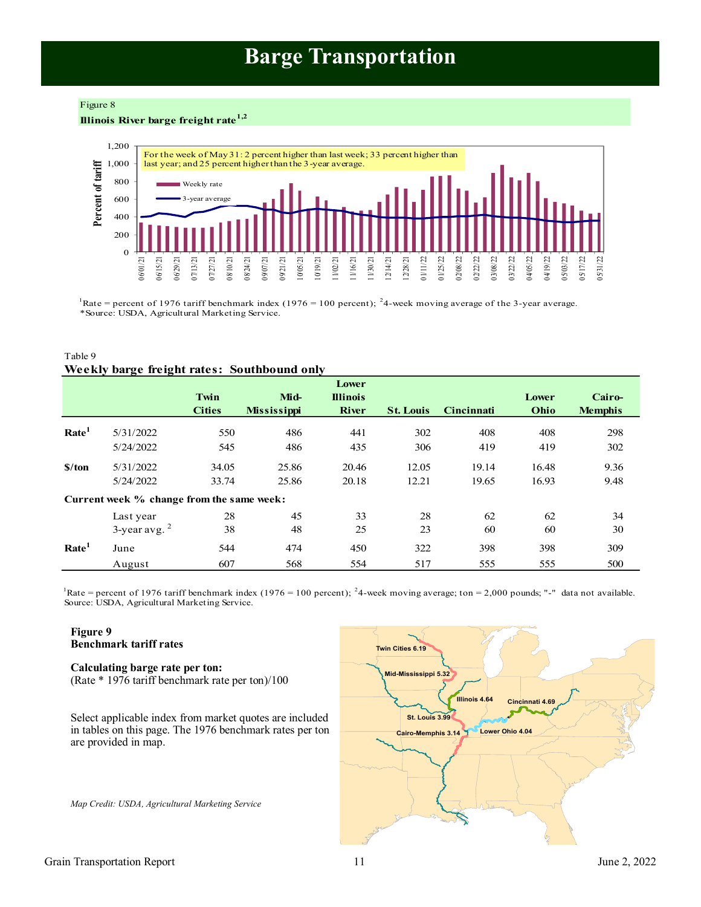# **Barge Transportation**

#### <span id="page-10-0"></span>Figure 8

**Illinois River barge freight rate1,2**



Rate = percent of 1976 tariff benchmark index (1976 = 100 percent); <sup>2</sup>4-week moving average of the 3-year average. \*Source: USDA, Agricultural Marketing Service.

#### Table 9 **Weekly barge freight rates: Southbound only**

|                             |                                           | Twin<br><b>Cities</b> | Mid-<br><b>Mississippi</b> | Lower<br><b>Illinois</b><br><b>River</b> | <b>St. Louis</b> | <b>Cincinnati</b> | Lower<br>Ohio | Cairo-<br><b>Memphis</b> |
|-----------------------------|-------------------------------------------|-----------------------|----------------------------|------------------------------------------|------------------|-------------------|---------------|--------------------------|
| Rate <sup>1</sup>           | 5/31/2022                                 | 550                   | 486                        | 441                                      | 302              | 408               | 408           | 298                      |
|                             | 5/24/2022                                 | 545                   | 486                        | 435                                      | 306              | 419               | 419           | 302                      |
| $\frac{\text{S}}{\text{A}}$ | 5/31/2022                                 | 34.05                 | 25.86                      | 20.46                                    | 12.05            | 19.14             | 16.48         | 9.36                     |
|                             | 5/24/2022                                 | 33.74                 | 25.86                      | 20.18                                    | 12.21            | 19.65             | 16.93         | 9.48                     |
|                             | Current week % change from the same week: |                       |                            |                                          |                  |                   |               |                          |
|                             | Last year                                 | 28                    | 45                         | 33                                       | 28               | 62                | 62            | 34                       |
|                             | $3$ -year avg. $2$                        | 38                    | 48                         | 25                                       | 23               | 60                | 60            | 30                       |
| Rate <sup>1</sup>           | June                                      | 544                   | 474                        | 450                                      | 322              | 398               | 398           | 309                      |
|                             | August                                    | 607                   | 568                        | 554                                      | 517              | 555               | 555           | 500                      |

Source: USDA, Agricultural Marketing Service. Rate = percent of 1976 tariff benchmark index (1976 = 100 percent); <sup>2</sup>4-week moving average; ton = 2,000 pounds; "-" data not available.

### **Figure 9 Benchmark tariff rates**

#### **Calculating barge rate per ton:** (Rate \* 1976 tariff benchmark rate per ton)/100

Select applicable index from market quotes are included in tables on this page. The 1976 benchmark rates per ton are provided in map.

*Map Credit: USDA, Agricultural Marketing Service* 

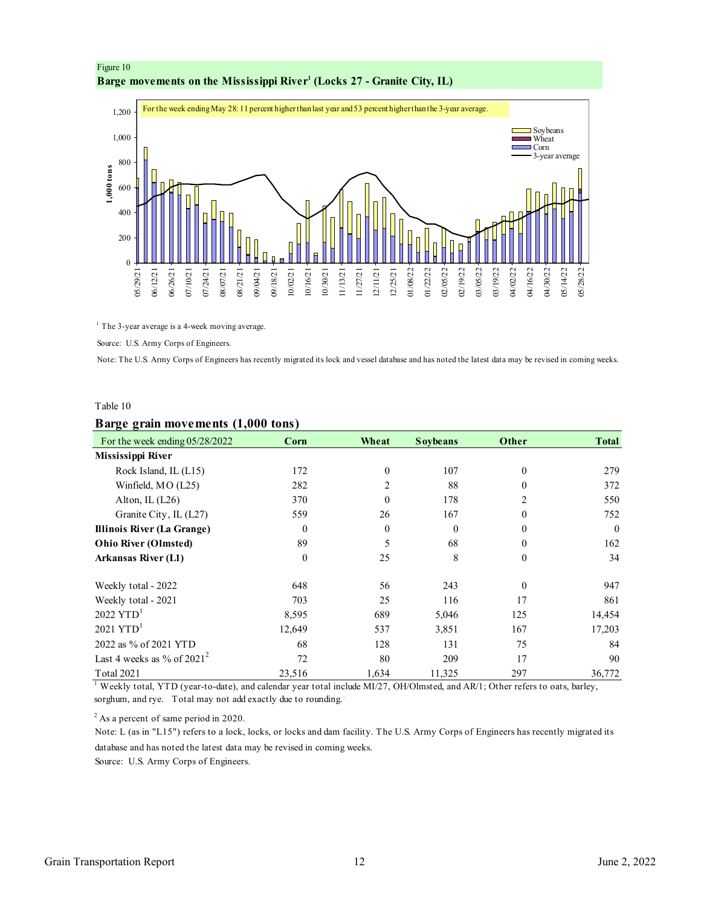<span id="page-11-0"></span>



 $<sup>1</sup>$  The 3-year average is a 4-week moving average.</sup>

Source: U.S. Army Corps of Engineers.

Note: The U.S. Army Corps of Engineers has recently migrated its lock and vessel database and has noted the latest data may be revised in coming weeks.

#### Table 10

|                                | Barge grain movements (1,000 tons) |              |                 |                |              |  |  |  |  |  |  |
|--------------------------------|------------------------------------|--------------|-----------------|----------------|--------------|--|--|--|--|--|--|
| For the week ending 05/28/2022 | Corn                               | Wheat        | <b>Soybeans</b> | Other          | <b>Total</b> |  |  |  |  |  |  |
| Mississippi River              |                                    |              |                 |                |              |  |  |  |  |  |  |
| Rock Island, IL (L15)          | 172                                | $\mathbf{0}$ | 107             | $\theta$       | 279          |  |  |  |  |  |  |
| Winfield, MO (L25)             | 282                                | 2            | 88              | $\theta$       | 372          |  |  |  |  |  |  |
| Alton, IL $(L26)$              | 370                                | $\Omega$     | 178             | $\overline{2}$ | 550          |  |  |  |  |  |  |
| Granite City, IL (L27)         | 559                                | 26           | 167             | $\mathbf{0}$   | 752          |  |  |  |  |  |  |
| Illinois River (La Grange)     | $\theta$                           | $\theta$     | $\theta$        | $\theta$       | $\theta$     |  |  |  |  |  |  |
| <b>Ohio River (Olmsted)</b>    | 89                                 | 5            | 68              | $\theta$       | 162          |  |  |  |  |  |  |
| <b>Arkansas River (L1)</b>     | $\theta$                           | 25           | 8               | $\theta$       | 34           |  |  |  |  |  |  |
| Weekly total - 2022            | 648                                | 56           | 243             | $\theta$       | 947          |  |  |  |  |  |  |
| Weekly total - 2021            | 703                                | 25           | 116             | 17             | 861          |  |  |  |  |  |  |
| $2022$ YTD <sup>1</sup>        | 8,595                              | 689          | 5,046           | 125            | 14,454       |  |  |  |  |  |  |
| $2021$ YTD <sup>1</sup>        | 12,649                             | 537          | 3,851           | 167            | 17,203       |  |  |  |  |  |  |
| 2022 as % of 2021 YTD          | 68                                 | 128          | 131             | 75             | 84           |  |  |  |  |  |  |
| Last 4 weeks as % of $2021^2$  | 72                                 | 80           | 209             | 17             | 90           |  |  |  |  |  |  |
| Total 2021                     | 23,516                             | 1,634        | 11,325          | 297            | 36,772       |  |  |  |  |  |  |

<sup>1</sup> Weekly total, YTD (year-to-date), and calendar year total include MI/27, OH/Olmsted, and AR/1; Other refers to oats, barley, sorghum, and rye. Total may not add exactly due to rounding..

 $2$  As a percent of same period in 2020.

Note: L (as in "L15") refers to a lock, locks, or locks and dam facility. The U.S. Army Corps of Engineers has recently migrated its database and has noted the latest data may be revised in coming weeks.

Source: U.S. Army Corps of Engineers.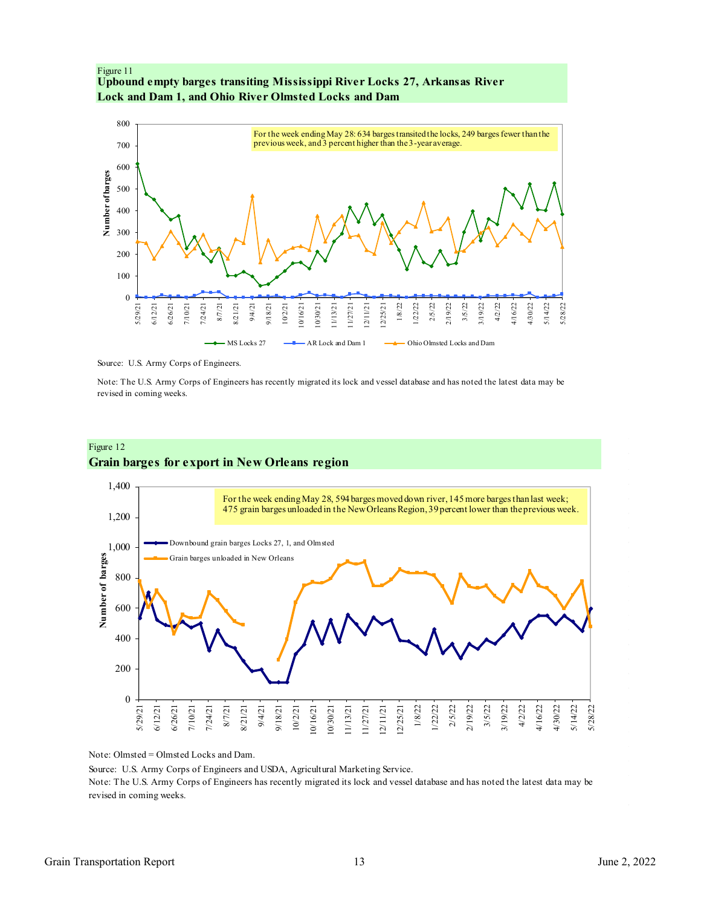<span id="page-12-0"></span>



Source: U.S. Army Corps of Engineers.

Note: The U.S. Army Corps of Engineers has recently migrated its lock and vessel database and has noted the latest data may be revised in coming weeks.

## Figure 12 **Grain barges for export in New Orleans region**



Note: Olmsted = Olmsted Locks and Dam.

Source: U.S. Army Corps of Engineers and USDA, Agricultural Marketing Service.

Note: The U.S. Army Corps of Engineers has recently migrated its lock and vessel database and has noted the latest data may be revised in coming weeks.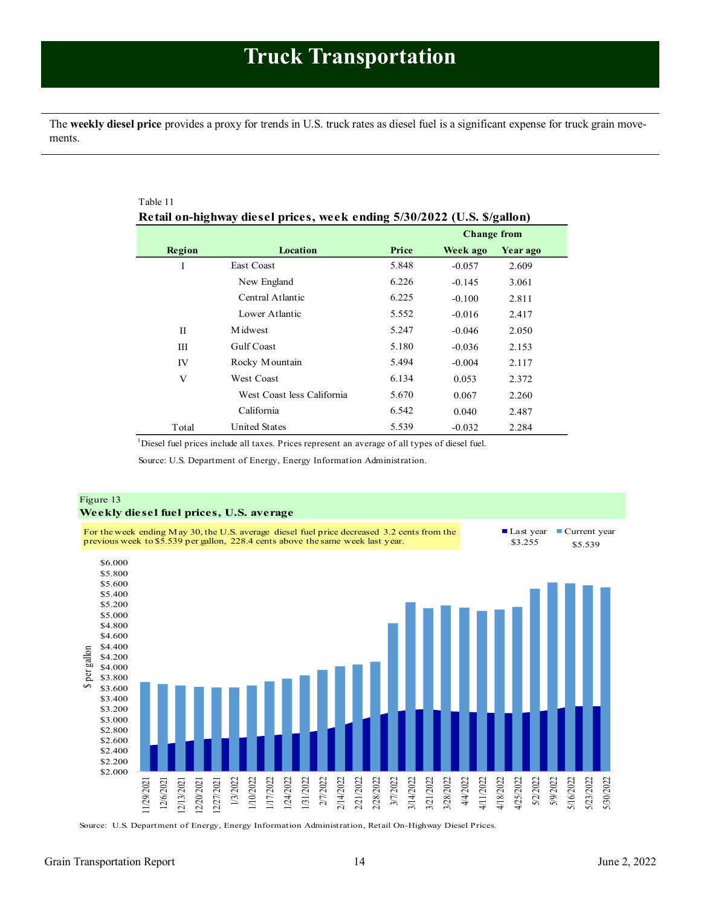<span id="page-13-1"></span><span id="page-13-0"></span>The **weekly diesel price** provides a proxy for trends in U.S. truck rates as diesel fuel is a significant expense for truck grain movements.

| Table 11                                                                |                            |       |                    |          |  |  |
|-------------------------------------------------------------------------|----------------------------|-------|--------------------|----------|--|--|
| Retail on-highway diesel prices, week ending 5/30/2022 (U.S. \$/gallon) |                            |       |                    |          |  |  |
|                                                                         |                            |       | <b>Change from</b> |          |  |  |
| Region                                                                  | Location                   | Price | Week ago           | Year ago |  |  |
| I                                                                       | East Coast                 | 5.848 | $-0.057$           | 2.609    |  |  |
|                                                                         | New England                | 6.226 | $-0.145$           | 3.061    |  |  |
|                                                                         | Central Atlantic           | 6.225 | $-0.100$           | 2.811    |  |  |
|                                                                         | Lower Atlantic             | 5.552 | $-0.016$           | 2.417    |  |  |
| H                                                                       | <b>M</b> idwest            | 5.247 | $-0.046$           | 2.050    |  |  |
| Ш                                                                       | <b>Gulf Coast</b>          | 5.180 | $-0.036$           | 2.153    |  |  |
| IV                                                                      | Rocky Mountain             | 5.494 | $-0.004$           | 2.117    |  |  |
| V                                                                       | <b>West Coast</b>          | 6.134 | 0.053              | 2.372    |  |  |
|                                                                         | West Coast less California | 5.670 | 0.067              | 2.260    |  |  |
|                                                                         | California                 | 6.542 | 0.040              | 2.487    |  |  |
| Total                                                                   | <b>United States</b>       | 5.539 | $-0.032$           | 2.284    |  |  |

<sup>1</sup>Diesel fuel prices include all taxes. Prices represent an average of all types of diesel fuel.

Source: U.S. Department of Energy, Energy Information Administration.



Source: U.S. Department of Energy, Energy Information Administration, Retail On-Highway Diesel Prices.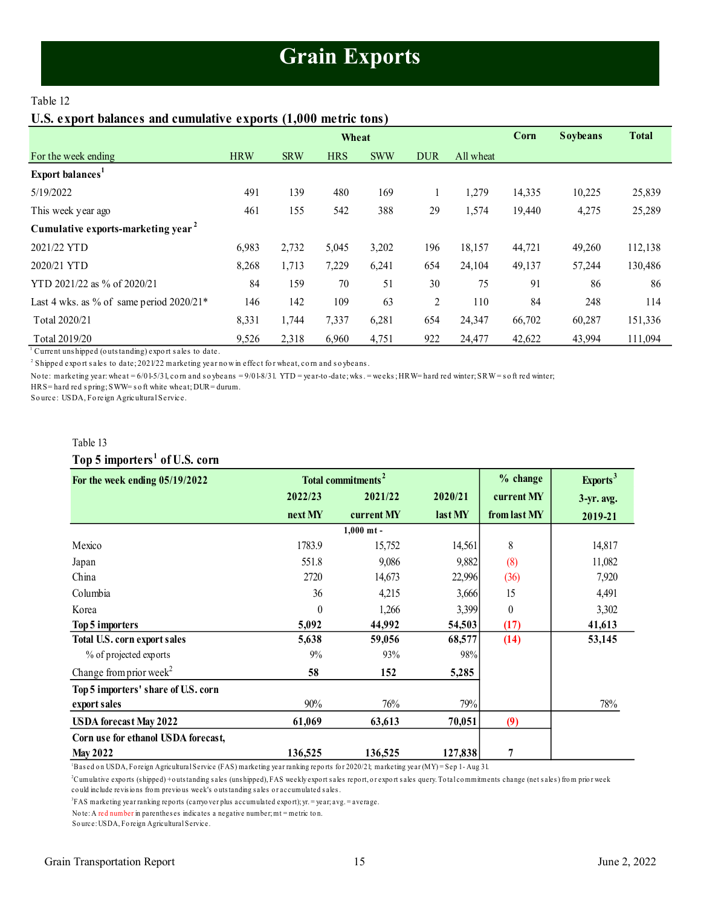# **Grain Exports**

## <span id="page-14-1"></span><span id="page-14-0"></span>Table 12

## **U.S. export balances and cumulative exports (1,000 metric tons)**

|                                                |            |            | Wheat      |            |                |           | Corn   | <b>Soybeans</b> | <b>Total</b> |
|------------------------------------------------|------------|------------|------------|------------|----------------|-----------|--------|-----------------|--------------|
| For the week ending                            | <b>HRW</b> | <b>SRW</b> | <b>HRS</b> | <b>SWW</b> | <b>DUR</b>     | All wheat |        |                 |              |
| Export balances <sup>1</sup>                   |            |            |            |            |                |           |        |                 |              |
| 5/19/2022                                      | 491        | 139        | 480        | 169        |                | 1,279     | 14,335 | 10,225          | 25,839       |
| This week year ago                             | 461        | 155        | 542        | 388        | 29             | 1,574     | 19,440 | 4,275           | 25,289       |
| Cumulative exports-marketing year <sup>2</sup> |            |            |            |            |                |           |        |                 |              |
| 2021/22 YTD                                    | 6,983      | 2,732      | 5,045      | 3,202      | 196            | 18,157    | 44,721 | 49,260          | 112,138      |
| 2020/21 YTD                                    | 8,268      | 1,713      | 7,229      | 6,241      | 654            | 24,104    | 49,137 | 57,244          | 130,486      |
| YTD 2021/22 as % of 2020/21                    | 84         | 159        | 70         | 51         | 30             | 75        | 91     | 86              | 86           |
| Last 4 wks. as % of same period $2020/21*$     | 146        | 142        | 109        | 63         | $\overline{2}$ | 110       | 84     | 248             | 114          |
| Total 2020/21                                  | 8,331      | 1,744      | 7,337      | 6,281      | 654            | 24,347    | 66,702 | 60,287          | 151,336      |
| Total 2019/20                                  | 9,526      | 2,318      | 6,960      | 4,751      | 922            | 24,477    | 42,622 | 43,994          | 111,094      |

<sup>1</sup> Current uns hipped (outs tanding) export sales to date.

2 Shipped expo rt s ales to date; 2021/22 marketing year no w in effect fo r wheat, co rn and s o ybeans .

Note: marketing year: wheat = 6/01-5/31, corn and soybeans = 9/01-8/31. YTD = year-to-date; wks. = weeks; HRW= hard red winter; SRW=soft red winter;

HRS= hard red s pring; SWW= s o ft white wheat; DUR= durum.

So urce: USDA, Fo reign Agricultural Service.

### Table 13

## **Top 5 importers <sup>1</sup> of U.S. corn**

| For the week ending $05/19/2022$    |          | Total commitments <sup>2</sup> | % change | Exports <sup>3</sup> |               |
|-------------------------------------|----------|--------------------------------|----------|----------------------|---------------|
|                                     | 2022/23  | 2021/22                        | 2020/21  | current MY           | $3-yr$ . avg. |
|                                     | next MY  | current MY                     | last MY  | from last MY         | 2019-21       |
|                                     |          | $1,000$ mt -                   |          |                      |               |
| Mexico                              | 1783.9   | 15,752                         | 14,561   | 8                    | 14,817        |
| Japan                               | 551.8    | 9,086                          | 9,882    | (8)                  | 11,082        |
| China                               | 2720     | 14,673                         | 22,996   | (36)                 | 7,920         |
| Columbia                            | 36       | 4,215                          | 3,666    | 15                   | 4,491         |
| Korea                               | $\theta$ | 1,266                          | 3,399    | $\theta$             | 3,302         |
| Top 5 importers                     | 5,092    | 44,992                         | 54,503   | (17)                 | 41,613        |
| Total U.S. corn export sales        | 5,638    | 59,056                         | 68,577   | (14)                 | 53,145        |
| % of projected exports              | 9%       | 93%                            | 98%      |                      |               |
| Change from prior week <sup>2</sup> | 58       | 152                            | 5,285    |                      |               |
| Top 5 importers' share of U.S. corn |          |                                |          |                      |               |
| export sales                        | 90%      | 76%                            | 79%      |                      | 78%           |
| <b>USDA</b> forecast May 2022       | 61,069   | 63,613                         | 70,051   | (9)                  |               |
| Corn use for ethanol USDA forecast, |          |                                |          |                      |               |
| <b>May 2022</b>                     | 136,525  | 136,525                        | 127,838  | 7                    |               |

<sup>1</sup>Bas ed o n USDA, Fo reign Agricultural Service (FAS) marketing year ranking repo rts fo r 2020/21; marketing year (MY) = Sep 1 - Aug 31.

<sup>2</sup>Cumulative exports (shipped) + outs tanding sales (unshipped), FAS weekly export sales report, or export sales query. Total commitments change (net sales) from prior week co uld include revis io ns fro m previo us week's o uts tanding s ales o r accumulated s ales .

3 FAS marketing year ranking repo rts (carryo ver plus accumulated expo rt); yr. = year; avg. = average.

No te: A red number in parenthes es indicates a negative number; mt = metric to n.

So urce: USDA, Fo reign Agricultural Service.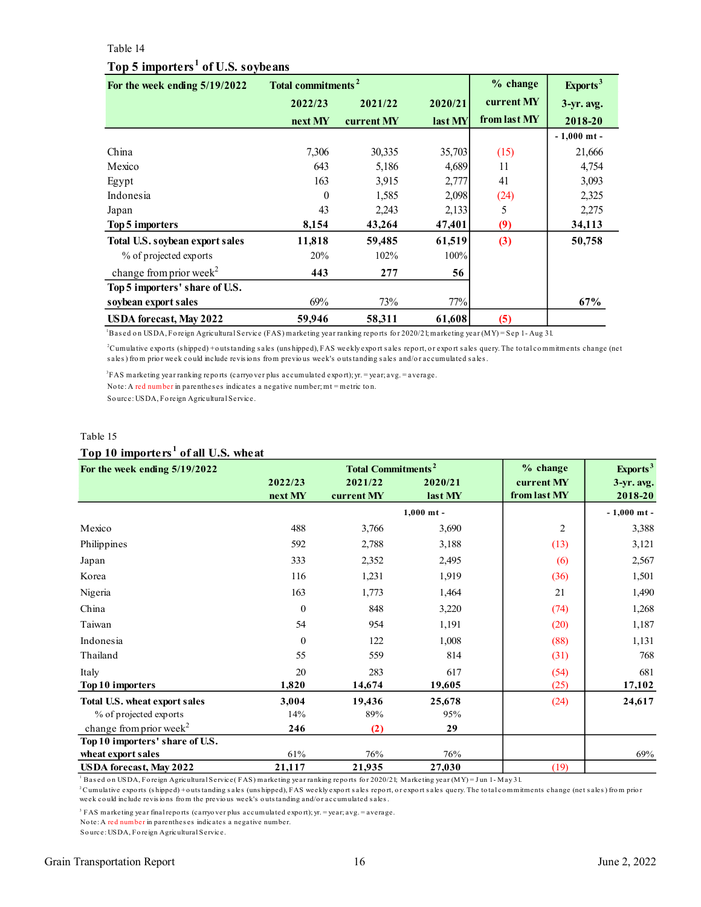#### <span id="page-15-0"></span>Table 14

## **Top 5 importers <sup>1</sup> of U.S. soybeans**

| For the week ending 5/19/2022       | Total commitments <sup>2</sup> |            |         | % change     | Exports <sup>3</sup> |
|-------------------------------------|--------------------------------|------------|---------|--------------|----------------------|
|                                     | 2022/23                        | 2021/22    | 2020/21 | current MY   | $3-yr$ . avg.        |
|                                     | next MY                        | current MY | last MY | from last MY | 2018-20              |
|                                     |                                |            |         |              | $-1,000$ mt $-$      |
| China                               | 7,306                          | 30,335     | 35,703  | (15)         | 21,666               |
| Mexico                              | 643                            | 5,186      | 4,689   | 11           | 4,754                |
| Egypt                               | 163                            | 3,915      | 2,777   | 41           | 3,093                |
| Indonesia                           | $\theta$                       | 1,585      | 2,098   | (24)         | 2,325                |
| Japan                               | 43                             | 2,243      | 2,133   | 5            | 2,275                |
| Top 5 importers                     | 8,154                          | 43,264     | 47,401  | (9)          | 34,113               |
| Total U.S. soybean export sales     | 11,818                         | 59,485     | 61,519  | (3)          | 50,758               |
| % of projected exports              | 20%                            | 102%       | 100%    |              |                      |
| change from prior week <sup>2</sup> | 443                            | 277        | 56      |              |                      |
| Top 5 importers' share of U.S.      |                                |            |         |              |                      |
| soybean export sales                | 69%                            | 73%        | 77%     |              | 67%                  |
| <b>USDA</b> forecast, May 2022      | 59,946                         | 58,311     | 61,608  | (5)          |                      |

<sup>1</sup>Based on USDA, Foreign Agricultural Service (FAS) marketing year ranking reports for 2020/21; marketing year (MY) = Sep 1- Aug 31.

<sup>2</sup>Cumulative expo rts (s hipped) + o uts tanding s ales (uns hipped), FAS weekly expo rt s ales repo rt, o r expo rt s ales query. The to tal co mmitments change (net sales) from prior week could include revisions from previous week's outstanding sales and/or accumulated sales.

3 FAS marketing year ranking repo rts (carryo ver plus accumulated expo rt); yr. = year; avg. = average.

No te: A red number in parenthes es indicates a negative number; mt = metric to n.

So urce: USDA, Fo reign Agricultural Service.

#### Table 15

#### **Top 10 importers <sup>1</sup> of all U.S. wheat**

| For the week ending 5/19/2022       |                  | <b>Total Commitments<sup>2</sup></b> | $%$ change   | Exports <sup>3</sup> |               |
|-------------------------------------|------------------|--------------------------------------|--------------|----------------------|---------------|
|                                     | 2022/23          | 2021/22                              | 2020/21      | current MY           | $3-yr$ . avg. |
|                                     | next MY          | current MY                           | last MY      | from last MY         | 2018-20       |
|                                     |                  |                                      | $1.000$ mt - |                      | $-1,000$ mt - |
| Mexico                              | 488              | 3,766                                | 3,690        | 2                    | 3,388         |
| Philippines                         | 592              | 2,788                                | 3,188        | (13)                 | 3,121         |
| Japan                               | 333              | 2,352                                | 2,495        | (6)                  | 2,567         |
| Korea                               | 116              | 1,231                                | 1,919        | (36)                 | 1,501         |
| Nigeria                             | 163              | 1,773                                | 1,464        | 21                   | 1,490         |
| China                               | $\boldsymbol{0}$ | 848                                  | 3,220        | (74)                 | 1,268         |
| Taiwan                              | 54               | 954                                  | 1,191        | (20)                 | 1,187         |
| Indonesia                           | $\Omega$         | 122                                  | 1,008        | (88)                 | 1,131         |
| Thailand                            | 55               | 559                                  | 814          | (31)                 | 768           |
| Italy                               | 20               | 283                                  | 617          | (54)                 | 681           |
| Top 10 importers                    | 1,820            | 14,674                               | 19,605       | (25)                 | 17,102        |
| Total U.S. wheat export sales       | 3,004            | 19,436                               | 25,678       | (24)                 | 24,617        |
| % of projected exports              | 14%              | 89%                                  | 95%          |                      |               |
| change from prior week <sup>2</sup> | 246              | (2)                                  | 29           |                      |               |
| Top 10 importers' share of U.S.     |                  |                                      |              |                      |               |
| wheat export sales                  | 61%              | 76%                                  | 76%          |                      | 69%           |
| <b>USDA</b> forecast, May 2022      | 21,117           | 21,935                               | 27,030       | (19)                 |               |

<sup>1</sup> Bas ed on USDA, Foreign Agricultural Service( FAS) marketing year ranking reports for 2020/21; Marketing year (MY) = Jun 1- May 31.

<sup>2</sup> Cumulative exports (shipped) + outs tanding sales (unshipped), FAS weekly export sales report, or export sales query. The total commitments change (net sales) from prior week could include revisions from the previous week's outstanding and/or accumulated sales.

3 FAS marketing year final repo rts (carryo ver plus accumulated expo rt); yr. = year; avg. = average.

No te: A red number in parenthes es indicates a negative number.

So urce: USDA, Fo reign Agricultural Service.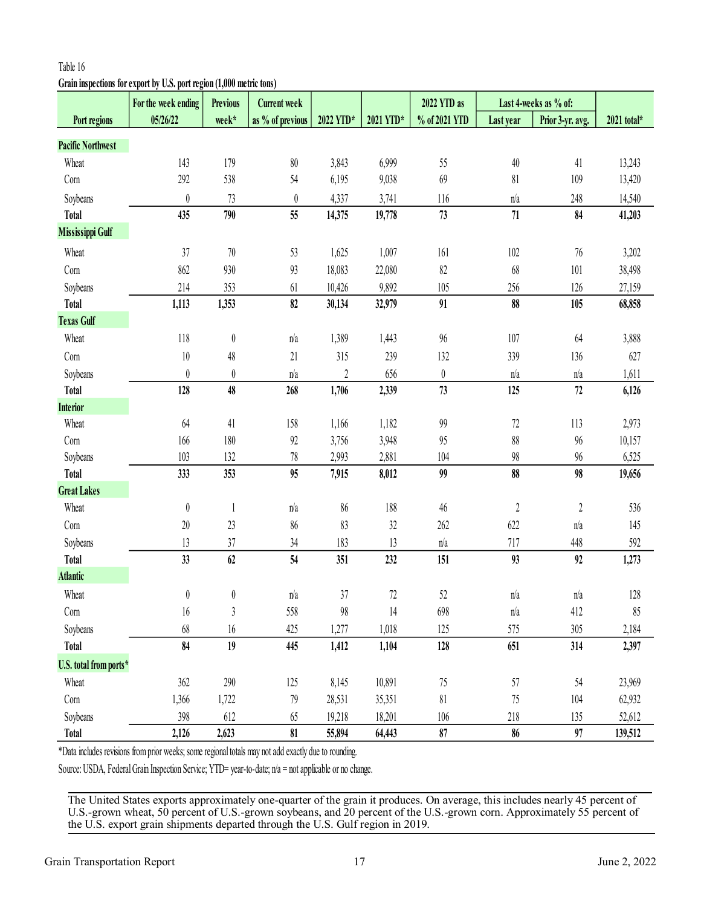# **Grain inspections for export by U.S. port region (1,000 metric tons)**

|                          | For the week ending                                                                                   | <b>Previous</b>  | <b>Current week</b> |                  |           | 2022 YTD as      |                  | Last 4-weeks as % of: |             |
|--------------------------|-------------------------------------------------------------------------------------------------------|------------------|---------------------|------------------|-----------|------------------|------------------|-----------------------|-------------|
| Port regions             | 05/26/22                                                                                              | week*            | as % of previous    | 2022 YTD*        | 2021 YTD* | % of 2021 YTD    | Last year        | Prior 3-yr. avg.      | 2021 total* |
| <b>Pacific Northwest</b> |                                                                                                       |                  |                     |                  |           |                  |                  |                       |             |
| Wheat                    | 143                                                                                                   | 179              | $80\,$              | 3,843            | 6,999     | 55               | $40\,$           | 41                    | 13,243      |
| Corn                     | 292                                                                                                   | 538              | 54                  | 6,195            | 9,038     | 69               | 81               | 109                   | 13,420      |
| Soybeans                 | $\boldsymbol{0}$                                                                                      | 73               | $\boldsymbol{0}$    | 4,337            | 3,741     | 116              | n/a              | 248                   | 14,540      |
| <b>Total</b>             | 435                                                                                                   | 790              | 55                  | 14,375           | 19,778    | 73               | $71\,$           | 84                    | 41,203      |
| <b>Mississippi Gulf</b>  |                                                                                                       |                  |                     |                  |           |                  |                  |                       |             |
| Wheat                    | 37                                                                                                    | $70\,$           | 53                  | 1,625            | 1,007     | 161              | 102              | $76\,$                | 3,202       |
| Corn                     | 862                                                                                                   | 930              | 93                  | 18,083           | 22,080    | 82               | 68               | 101                   | 38,498      |
| Soybeans                 | 214                                                                                                   | 353              | 61                  | 10,426           | 9,892     | 105              | 256              | 126                   | 27,159      |
| <b>Total</b>             | 1,113                                                                                                 | 1,353            | 82                  | 30,134           | 32,979    | 91               | 88               | 105                   | 68,858      |
| <b>Texas Gulf</b>        |                                                                                                       |                  |                     |                  |           |                  |                  |                       |             |
| Wheat                    | 118                                                                                                   | $\boldsymbol{0}$ | n/a                 | 1,389            | 1,443     | 96               | 107              | 64                    | 3,888       |
| Com                      | 10                                                                                                    | 48               | 21                  | 315              | 239       | 132              | 339              | 136                   | 627         |
| Soybeans                 | $\boldsymbol{0}$                                                                                      | $\boldsymbol{0}$ | n/a                 | $\boldsymbol{2}$ | 656       | $\boldsymbol{0}$ | n/a              | n/a                   | 1,611       |
| <b>Total</b>             | 128                                                                                                   | 48               | 268                 | 1,706            | 2,339     | 73               | 125              | 72                    | 6,126       |
| <b>Interior</b>          |                                                                                                       |                  |                     |                  |           |                  |                  |                       |             |
| Wheat                    | 64                                                                                                    | 41               | 158                 | 1,166            | 1,182     | 99               | 72               | 113                   | 2,973       |
| Corn                     | 166                                                                                                   | 180              | 92                  | 3,756            | 3,948     | 95               | $88\,$           | $96\,$                | 10,157      |
| Soybeans                 | 103                                                                                                   | 132              | $78\,$              | 2,993            | 2,881     | 104              | $98\,$           | 96                    | 6,525       |
| <b>Total</b>             | 333                                                                                                   | 353              | 95                  | 7,915            | 8,012     | 99               | 88               | 98                    | 19,656      |
| <b>Great Lakes</b>       |                                                                                                       |                  |                     |                  |           |                  |                  |                       |             |
| Wheat                    | $\boldsymbol{0}$                                                                                      | $\mathbf{1}$     | n/a                 | 86               | 188       | 46               | $\boldsymbol{2}$ | $2\,$                 | 536         |
| Com                      | 20                                                                                                    | 23               | 86                  | 83               | 32        | 262              | 622              | n/a                   | 145         |
| Soybeans                 | 13                                                                                                    | 37               | 34                  | 183              | 13        | n/a              | 717              | 448                   | 592         |
| <b>Total</b>             | 33                                                                                                    | 62               | 54                  | 351              | 232       | 151              | 93               | 92                    | 1,273       |
| <b>Atlantic</b>          |                                                                                                       |                  |                     |                  |           |                  |                  |                       |             |
| Wheat                    | 0                                                                                                     | $\pmb{0}$        | n/a                 | 37               | 72        | 52               | n/a              | n/a                   | 128         |
| Com                      | 16                                                                                                    | 3                | 558                 | 98               | 14        | 698              | n/a              | 412                   | 85          |
| Soybeans                 | 68                                                                                                    | 16               | 425                 | 1,277            | 1,018     | 125              | 575              | 305                   | 2,184       |
| <b>Total</b>             | 84                                                                                                    | 19               | 445                 | 1,412            | 1,104     | 128              | 651              | 314                   | 2,397       |
| U.S. total from ports*   |                                                                                                       |                  |                     |                  |           |                  |                  |                       |             |
| Wheat                    | 362                                                                                                   | 290              | 125                 | 8,145            | 10,891    | 75               | 57               | 54                    | 23,969      |
| Com                      | 1,366                                                                                                 | 1,722            | 79                  | 28,531           | 35,351    | 81               | 75               | 104                   | 62,932      |
| Soybeans                 | 398                                                                                                   | 612              | 65                  | 19,218           | 18,201    | 106              | 218              | 135                   | 52,612      |
| <b>Total</b>             | 2,126                                                                                                 | 2,623            | 81                  | 55,894           | 64,443    | 87               | 86               | 97                    | 139,512     |
|                          | *Data includes revisions from prior weeks; some regional totals may not add exactly due to rounding.  |                  |                     |                  |           |                  |                  |                       |             |
|                          | Source: USDA, Federal Grain Inspection Service; YTD= year-to-date; n/a = not applicable or no change. |                  |                     |                  |           |                  |                  |                       |             |
|                          |                                                                                                       |                  |                     |                  |           |                  |                  |                       |             |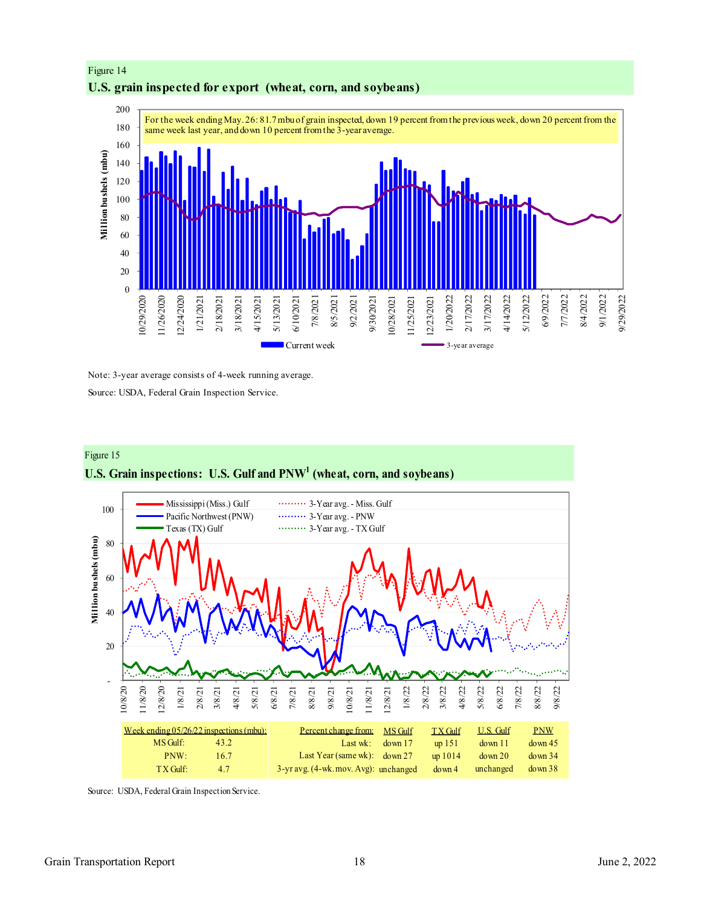



Note: 3-year average consists of 4-week running average. Source: USDA, Federal Grain Inspection Service.



**U.S. Grain inspections: U.S. Gulf and PNW<sup>1</sup> (wheat, corn, and soybeans)**



Source: USDA, Federal Grain Inspection Service.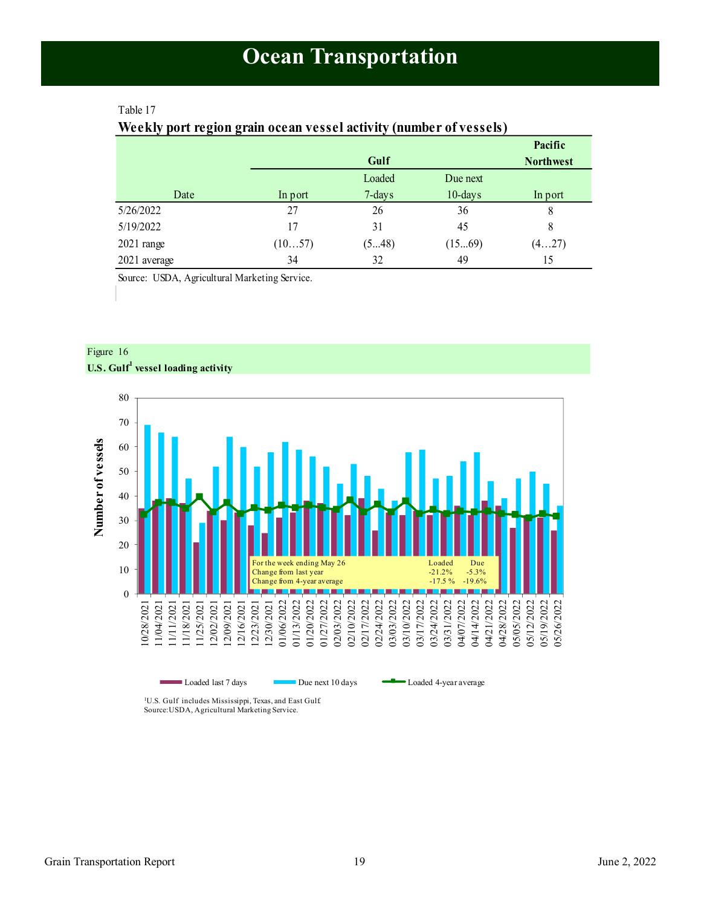## <span id="page-18-1"></span><span id="page-18-0"></span>Table 17

## **Weekly port region grain ocean vessel activity (number of vessels)**

|              |         |           |            | Pacific          |
|--------------|---------|-----------|------------|------------------|
|              |         | Gulf      |            | <b>Northwest</b> |
|              |         | Loaded    | Due next   |                  |
| Date         | In port | $7$ -days | $10$ -days | In port          |
| 5/26/2022    | 27      | 26        | 36         | 8                |
| 5/19/2022    | 17      | 31        | 45         | 8                |
| $2021$ range | (1057)  | (548)     | (1569)     | (427)            |
| 2021 average | 34      | 32        | 49         | 15               |

Source: USDA, Agricultural Marketing Service.



Figure 16 **U.S. Gulf<sup>1</sup> vessel loading activity**

<sup>1</sup>U.S. Gulf includes Mississippi, Texas, and East Gulf. Source:USDA, Agricultural Marketing Service.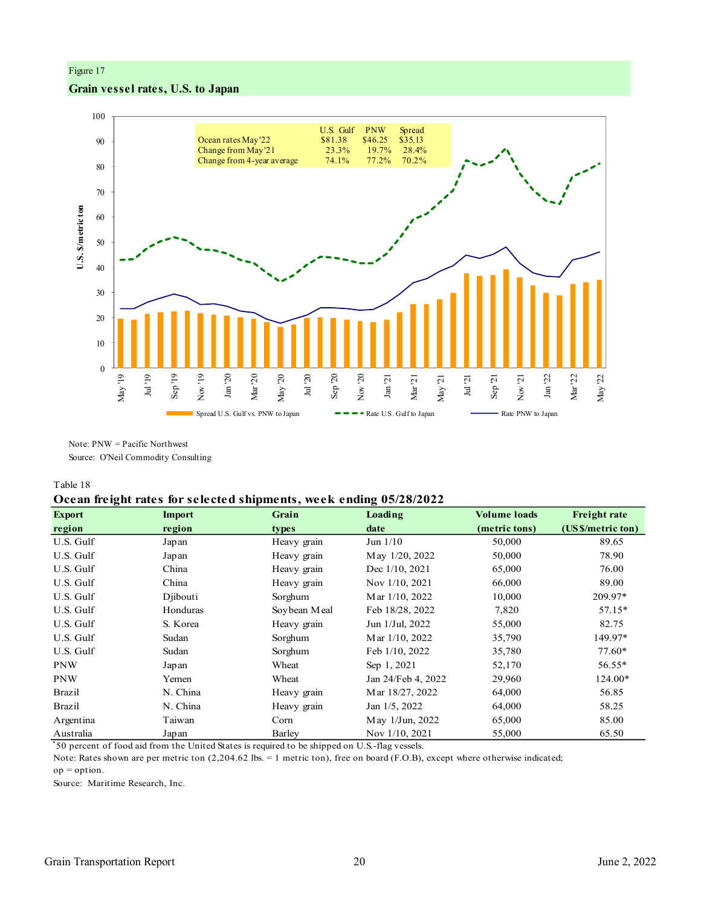## Figure 17

## **Grain vessel rates, U.S. to Japan**



Note: PNW = Pacific Northwest Source: O'Neil Commodity Consulting

#### Table 18

## **Ocean freight rates for selected shipments, week ending 05/28/2022**

| <b>Export</b> | <b>Import</b> | Grain        | Loading            | <b>Volume loads</b> | <b>Freight rate</b> |
|---------------|---------------|--------------|--------------------|---------------------|---------------------|
| region        | region        | types        | date               | (metric tons)       | (US \$/metric ton)  |
| U.S. Gulf     | Japan         | Heavy grain  | Jun $1/10$         | 50,000              | 89.65               |
| U.S. Gulf     | Japan         | Heavy grain  | May 1/20, 2022     | 50,000              | 78.90               |
| U.S. Gulf     | China         | Heavy grain  | Dec 1/10, 2021     | 65,000              | 76.00               |
| U.S. Gulf     | China         | Heavy grain  | Nov 1/10, 2021     | 66,000              | 89.00               |
| U.S. Gulf     | Diibouti      | Sorghum      | Mar 1/10, 2022     | 10,000              | 209.97*             |
| U.S. Gulf     | Honduras      | Soybean Meal | Feb 18/28, 2022    | 7,820               | $57.15*$            |
| U.S. Gulf     | S. Korea      | Heavy grain  | Jun 1/Jul, 2022    | 55,000              | 82.75               |
| U.S. Gulf     | Sudan         | Sorghum      | Mar 1/10, 2022     | 35,790              | 149.97*             |
| U.S. Gulf     | Sudan         | Sorghum      | Feb 1/10, 2022     | 35,780              | 77.60*              |
| <b>PNW</b>    | Japan         | Wheat        | Sep 1, 2021        | 52,170              | 56.55*              |
| <b>PNW</b>    | Yemen         | Wheat        | Jan 24/Feb 4, 2022 | 29,960              | 124.00*             |
| <b>Brazil</b> | N. China      | Heavy grain  | Mar 18/27, 2022    | 64,000              | 56.85               |
| Brazil        | N. China      | Heavy grain  | Jan 1/5, 2022      | 64,000              | 58.25               |
| Argentina     | Taiwan        | Corn         | May 1/Jun, 2022    | 65,000              | 85.00               |
| Australia     | Japan         | Barley       | Nov 1/10, 2021     | 55,000              | 65.50               |

\* 50 percent of food aid from the United States is required to be shipped on U.S.-flag vessels.

 $op = option.$ Note: Rates shown are per metric ton (2,204.62 lbs. = 1 metric ton), free on board (F.O.B), except where otherwise indicated;

Source: Maritime Research, Inc.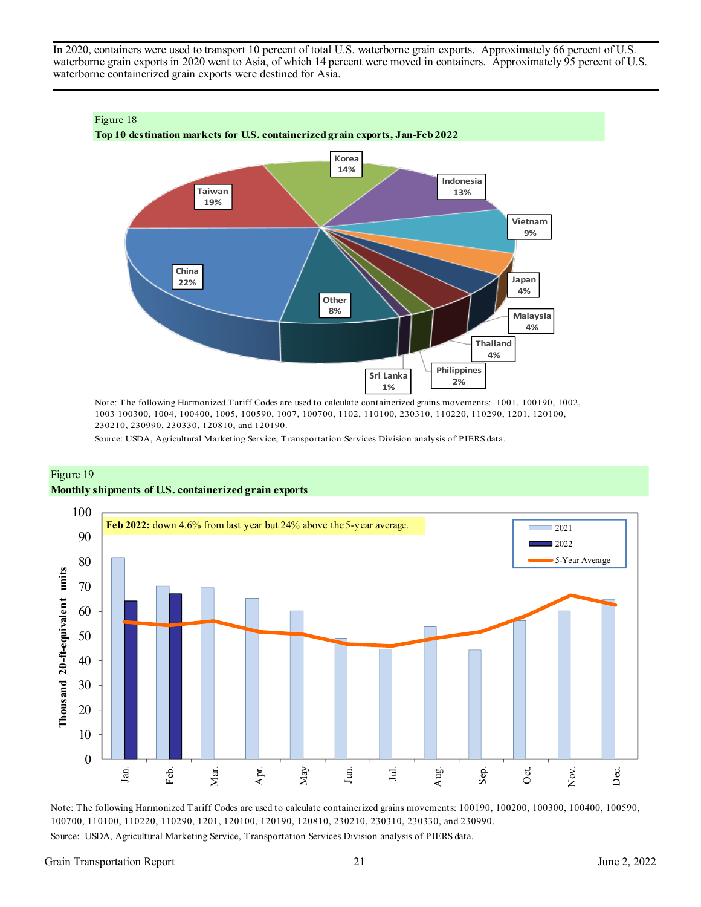In 2020, containers were used to transport 10 percent of total U.S. waterborne grain exports. Approximately 66 percent of U.S. waterborne grain exports in 2020 went to Asia, of which 14 percent were moved in containers. Approximately 95 percent of U.S. waterborne containerized grain exports were destined for Asia.



Note: The following Harmonized Tariff Codes are used to calculate containerized grains movements: 1001, 100190, 1002, 1003 100300, 1004, 100400, 1005, 100590, 1007, 100700, 1102, 110100, 230310, 110220, 110290, 1201, 120100, 230210, 230990, 230330, 120810, and 120190.

Source: USDA, Agricultural Marketing Service, Transportation Services Division analysis of PIERS data.





Note: The following Harmonized Tariff Codes are used to calculate containerized grains movements: 100190, 100200, 100300, 100400, 100590, 100700, 110100, 110220, 110290, 1201, 120100, 120190, 120810, 230210, 230310, 230330, and 230990.

Source: USDA, Agricultural Marketing Service, Transportation Services Division analysis of PIERS data.